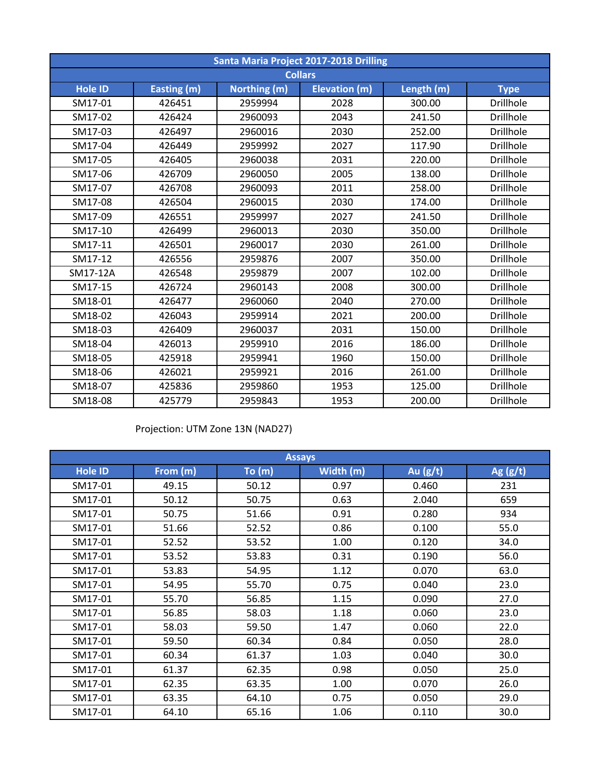| Santa Maria Project 2017-2018 Drilling |             |              |                      |            |                  |  |  |  |
|----------------------------------------|-------------|--------------|----------------------|------------|------------------|--|--|--|
| <b>Collars</b>                         |             |              |                      |            |                  |  |  |  |
| <b>Hole ID</b>                         | Easting (m) | Northing (m) | <b>Elevation (m)</b> | Length (m) | <b>Type</b>      |  |  |  |
| SM17-01                                | 426451      | 2959994      | 2028                 | 300.00     | <b>Drillhole</b> |  |  |  |
| SM17-02                                | 426424      | 2960093      | 2043                 | 241.50     | Drillhole        |  |  |  |
| SM17-03                                | 426497      | 2960016      | 2030                 | 252.00     | <b>Drillhole</b> |  |  |  |
| SM17-04                                | 426449      | 2959992      | 2027                 | 117.90     | Drillhole        |  |  |  |
| SM17-05                                | 426405      | 2960038      | 2031                 | 220.00     | <b>Drillhole</b> |  |  |  |
| SM17-06                                | 426709      | 2960050      | 2005                 | 138.00     | Drillhole        |  |  |  |
| SM17-07                                | 426708      | 2960093      | 2011                 | 258.00     | <b>Drillhole</b> |  |  |  |
| SM17-08                                | 426504      | 2960015      | 2030                 | 174.00     | <b>Drillhole</b> |  |  |  |
| SM17-09                                | 426551      | 2959997      | 2027                 | 241.50     | Drillhole        |  |  |  |
| SM17-10                                | 426499      | 2960013      | 2030                 | 350.00     | <b>Drillhole</b> |  |  |  |
| SM17-11                                | 426501      | 2960017      | 2030                 | 261.00     | <b>Drillhole</b> |  |  |  |
| SM17-12                                | 426556      | 2959876      | 2007                 | 350.00     | <b>Drillhole</b> |  |  |  |
| SM17-12A                               | 426548      | 2959879      | 2007                 | 102.00     | <b>Drillhole</b> |  |  |  |
| SM17-15                                | 426724      | 2960143      | 2008                 | 300.00     | <b>Drillhole</b> |  |  |  |
| SM18-01                                | 426477      | 2960060      | 2040                 | 270.00     | <b>Drillhole</b> |  |  |  |
| SM18-02                                | 426043      | 2959914      | 2021                 | 200.00     | <b>Drillhole</b> |  |  |  |
| SM18-03                                | 426409      | 2960037      | 2031                 | 150.00     | <b>Drillhole</b> |  |  |  |
| SM18-04                                | 426013      | 2959910      | 2016                 | 186.00     | <b>Drillhole</b> |  |  |  |
| SM18-05                                | 425918      | 2959941      | 1960                 | 150.00     | <b>Drillhole</b> |  |  |  |
| SM18-06                                | 426021      | 2959921      | 2016                 | 261.00     | <b>Drillhole</b> |  |  |  |
| SM18-07                                | 425836      | 2959860      | 1953                 | 125.00     | <b>Drillhole</b> |  |  |  |
| SM18-08                                | 425779      | 2959843      | 1953                 | 200.00     | <b>Drillhole</b> |  |  |  |

## Projection: UTM Zone 13N (NAD27)

| <b>Assays</b>  |          |        |           |            |            |  |  |
|----------------|----------|--------|-----------|------------|------------|--|--|
| <b>Hole ID</b> | From (m) | To (m) | Width (m) | Au $(g/t)$ | Ag $(g/t)$ |  |  |
| SM17-01        | 49.15    | 50.12  | 0.97      | 0.460      | 231        |  |  |
| SM17-01        | 50.12    | 50.75  | 0.63      | 2.040      | 659        |  |  |
| SM17-01        | 50.75    | 51.66  | 0.91      | 0.280      | 934        |  |  |
| SM17-01        | 51.66    | 52.52  | 0.86      | 0.100      | 55.0       |  |  |
| SM17-01        | 52.52    | 53.52  | 1.00      | 0.120      | 34.0       |  |  |
| SM17-01        | 53.52    | 53.83  | 0.31      | 0.190      | 56.0       |  |  |
| SM17-01        | 53.83    | 54.95  | 1.12      | 0.070      | 63.0       |  |  |
| SM17-01        | 54.95    | 55.70  | 0.75      | 0.040      | 23.0       |  |  |
| SM17-01        | 55.70    | 56.85  | 1.15      | 0.090      | 27.0       |  |  |
| SM17-01        | 56.85    | 58.03  | 1.18      | 0.060      | 23.0       |  |  |
| SM17-01        | 58.03    | 59.50  | 1.47      | 0.060      | 22.0       |  |  |
| SM17-01        | 59.50    | 60.34  | 0.84      | 0.050      | 28.0       |  |  |
| SM17-01        | 60.34    | 61.37  | 1.03      | 0.040      | 30.0       |  |  |
| SM17-01        | 61.37    | 62.35  | 0.98      | 0.050      | 25.0       |  |  |
| SM17-01        | 62.35    | 63.35  | 1.00      | 0.070      | 26.0       |  |  |
| SM17-01        | 63.35    | 64.10  | 0.75      | 0.050      | 29.0       |  |  |
| SM17-01        | 64.10    | 65.16  | 1.06      | 0.110      | 30.0       |  |  |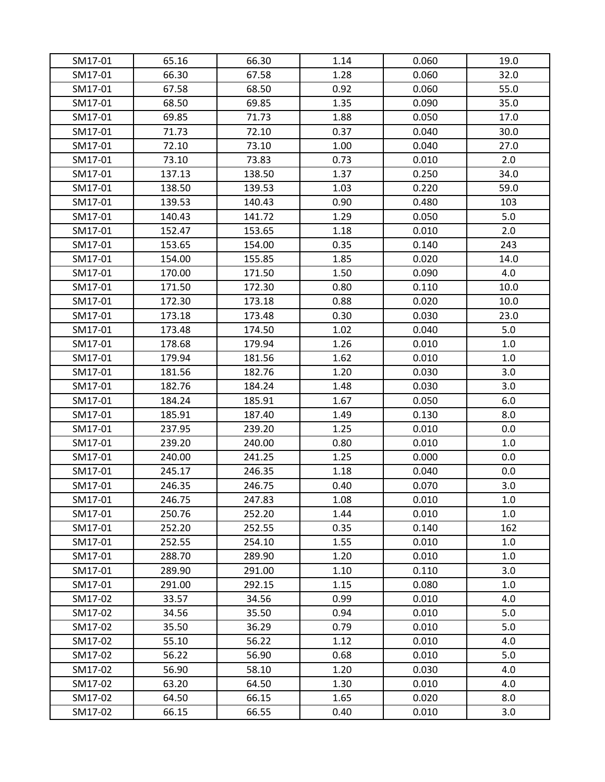| SM17-01 | 65.16  | 66.30  | 1.14 | 0.060 | 19.0 |
|---------|--------|--------|------|-------|------|
| SM17-01 | 66.30  | 67.58  | 1.28 | 0.060 | 32.0 |
| SM17-01 | 67.58  | 68.50  | 0.92 | 0.060 | 55.0 |
| SM17-01 | 68.50  | 69.85  | 1.35 | 0.090 | 35.0 |
| SM17-01 | 69.85  | 71.73  | 1.88 | 0.050 | 17.0 |
| SM17-01 | 71.73  | 72.10  | 0.37 | 0.040 | 30.0 |
| SM17-01 | 72.10  | 73.10  | 1.00 | 0.040 | 27.0 |
| SM17-01 | 73.10  | 73.83  | 0.73 | 0.010 | 2.0  |
| SM17-01 | 137.13 | 138.50 | 1.37 | 0.250 | 34.0 |
| SM17-01 | 138.50 | 139.53 | 1.03 | 0.220 | 59.0 |
| SM17-01 | 139.53 | 140.43 | 0.90 | 0.480 | 103  |
| SM17-01 | 140.43 | 141.72 | 1.29 | 0.050 | 5.0  |
| SM17-01 | 152.47 | 153.65 | 1.18 | 0.010 | 2.0  |
| SM17-01 | 153.65 | 154.00 | 0.35 | 0.140 | 243  |
| SM17-01 | 154.00 | 155.85 | 1.85 | 0.020 | 14.0 |
| SM17-01 | 170.00 | 171.50 | 1.50 | 0.090 | 4.0  |
| SM17-01 | 171.50 | 172.30 | 0.80 | 0.110 | 10.0 |
| SM17-01 | 172.30 | 173.18 | 0.88 | 0.020 | 10.0 |
| SM17-01 | 173.18 | 173.48 | 0.30 | 0.030 | 23.0 |
| SM17-01 | 173.48 | 174.50 | 1.02 | 0.040 | 5.0  |
| SM17-01 | 178.68 | 179.94 | 1.26 | 0.010 | 1.0  |
| SM17-01 | 179.94 | 181.56 | 1.62 | 0.010 | 1.0  |
| SM17-01 | 181.56 | 182.76 | 1.20 | 0.030 | 3.0  |
| SM17-01 | 182.76 | 184.24 | 1.48 | 0.030 | 3.0  |
| SM17-01 | 184.24 | 185.91 | 1.67 | 0.050 | 6.0  |
| SM17-01 | 185.91 | 187.40 | 1.49 | 0.130 | 8.0  |
| SM17-01 | 237.95 | 239.20 | 1.25 | 0.010 | 0.0  |
| SM17-01 | 239.20 | 240.00 | 0.80 | 0.010 | 1.0  |
| SM17-01 | 240.00 | 241.25 | 1.25 | 0.000 | 0.0  |
| SM17-01 | 245.17 | 246.35 | 1.18 | 0.040 | 0.0  |
| SM17-01 | 246.35 | 246.75 | 0.40 | 0.070 | 3.0  |
| SM17-01 | 246.75 | 247.83 | 1.08 | 0.010 | 1.0  |
| SM17-01 | 250.76 | 252.20 | 1.44 | 0.010 | 1.0  |
| SM17-01 | 252.20 | 252.55 | 0.35 | 0.140 | 162  |
| SM17-01 | 252.55 | 254.10 | 1.55 | 0.010 | 1.0  |
| SM17-01 | 288.70 | 289.90 | 1.20 | 0.010 | 1.0  |
| SM17-01 | 289.90 | 291.00 | 1.10 | 0.110 | 3.0  |
| SM17-01 | 291.00 | 292.15 | 1.15 | 0.080 | 1.0  |
| SM17-02 | 33.57  | 34.56  | 0.99 | 0.010 | 4.0  |
| SM17-02 | 34.56  | 35.50  | 0.94 | 0.010 | 5.0  |
| SM17-02 | 35.50  | 36.29  | 0.79 | 0.010 | 5.0  |
| SM17-02 | 55.10  | 56.22  | 1.12 | 0.010 | 4.0  |
| SM17-02 | 56.22  | 56.90  | 0.68 | 0.010 | 5.0  |
| SM17-02 | 56.90  | 58.10  | 1.20 | 0.030 | 4.0  |
| SM17-02 | 63.20  | 64.50  | 1.30 | 0.010 | 4.0  |
| SM17-02 | 64.50  | 66.15  | 1.65 | 0.020 | 8.0  |
| SM17-02 | 66.15  | 66.55  | 0.40 | 0.010 | 3.0  |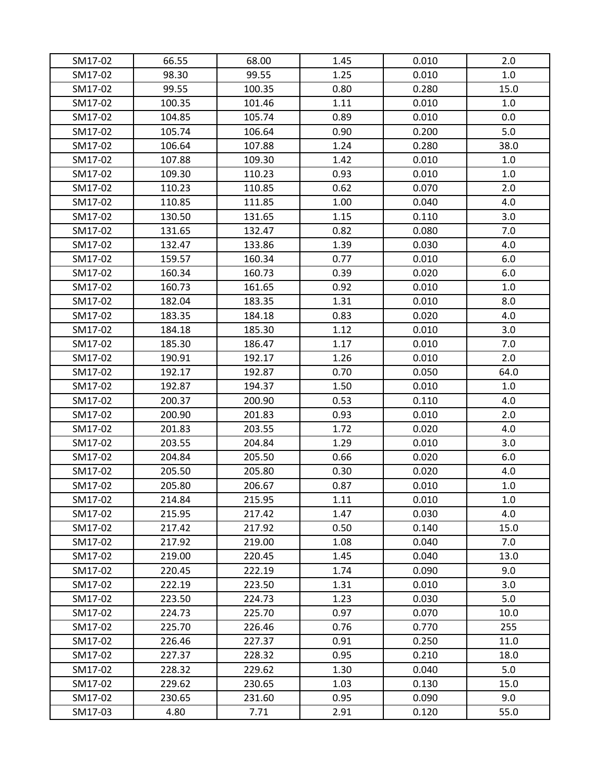| SM17-02 | 66.55  | 68.00  | 1.45 | 0.010 | 2.0  |
|---------|--------|--------|------|-------|------|
| SM17-02 | 98.30  | 99.55  | 1.25 | 0.010 | 1.0  |
| SM17-02 | 99.55  | 100.35 | 0.80 | 0.280 | 15.0 |
| SM17-02 | 100.35 | 101.46 | 1.11 | 0.010 | 1.0  |
| SM17-02 | 104.85 | 105.74 | 0.89 | 0.010 | 0.0  |
| SM17-02 | 105.74 | 106.64 | 0.90 | 0.200 | 5.0  |
| SM17-02 | 106.64 | 107.88 | 1.24 | 0.280 | 38.0 |
| SM17-02 | 107.88 | 109.30 | 1.42 | 0.010 | 1.0  |
| SM17-02 | 109.30 | 110.23 | 0.93 | 0.010 | 1.0  |
| SM17-02 | 110.23 | 110.85 | 0.62 | 0.070 | 2.0  |
| SM17-02 | 110.85 | 111.85 | 1.00 | 0.040 | 4.0  |
| SM17-02 | 130.50 | 131.65 | 1.15 | 0.110 | 3.0  |
| SM17-02 | 131.65 | 132.47 | 0.82 | 0.080 | 7.0  |
| SM17-02 | 132.47 | 133.86 | 1.39 | 0.030 | 4.0  |
| SM17-02 | 159.57 | 160.34 | 0.77 | 0.010 | 6.0  |
| SM17-02 | 160.34 | 160.73 | 0.39 | 0.020 | 6.0  |
| SM17-02 | 160.73 | 161.65 | 0.92 | 0.010 | 1.0  |
| SM17-02 | 182.04 | 183.35 | 1.31 | 0.010 | 8.0  |
| SM17-02 | 183.35 | 184.18 | 0.83 | 0.020 | 4.0  |
| SM17-02 | 184.18 | 185.30 | 1.12 | 0.010 | 3.0  |
| SM17-02 | 185.30 | 186.47 | 1.17 | 0.010 | 7.0  |
| SM17-02 | 190.91 | 192.17 | 1.26 | 0.010 | 2.0  |
| SM17-02 | 192.17 | 192.87 | 0.70 | 0.050 | 64.0 |
| SM17-02 | 192.87 | 194.37 | 1.50 | 0.010 | 1.0  |
| SM17-02 | 200.37 | 200.90 | 0.53 | 0.110 | 4.0  |
| SM17-02 | 200.90 | 201.83 | 0.93 | 0.010 | 2.0  |
| SM17-02 | 201.83 | 203.55 | 1.72 | 0.020 | 4.0  |
| SM17-02 | 203.55 | 204.84 | 1.29 | 0.010 | 3.0  |
| SM17-02 | 204.84 | 205.50 | 0.66 | 0.020 | 6.0  |
| SM17-02 | 205.50 | 205.80 | 0.30 | 0.020 | 4.0  |
| SM17-02 | 205.80 | 206.67 | 0.87 | 0.010 | 1.0  |
| SM17-02 | 214.84 | 215.95 | 1.11 | 0.010 | 1.0  |
| SM17-02 | 215.95 | 217.42 | 1.47 | 0.030 | 4.0  |
| SM17-02 | 217.42 | 217.92 | 0.50 | 0.140 | 15.0 |
| SM17-02 | 217.92 | 219.00 | 1.08 | 0.040 | 7.0  |
| SM17-02 | 219.00 | 220.45 | 1.45 | 0.040 | 13.0 |
| SM17-02 | 220.45 | 222.19 | 1.74 | 0.090 | 9.0  |
| SM17-02 | 222.19 | 223.50 | 1.31 | 0.010 | 3.0  |
| SM17-02 | 223.50 | 224.73 | 1.23 | 0.030 | 5.0  |
| SM17-02 | 224.73 | 225.70 | 0.97 | 0.070 | 10.0 |
| SM17-02 | 225.70 | 226.46 | 0.76 | 0.770 | 255  |
| SM17-02 | 226.46 | 227.37 | 0.91 | 0.250 | 11.0 |
| SM17-02 | 227.37 | 228.32 | 0.95 | 0.210 | 18.0 |
| SM17-02 | 228.32 | 229.62 | 1.30 | 0.040 | 5.0  |
| SM17-02 | 229.62 | 230.65 | 1.03 | 0.130 | 15.0 |
| SM17-02 | 230.65 | 231.60 | 0.95 | 0.090 | 9.0  |
| SM17-03 | 4.80   | 7.71   | 2.91 | 0.120 | 55.0 |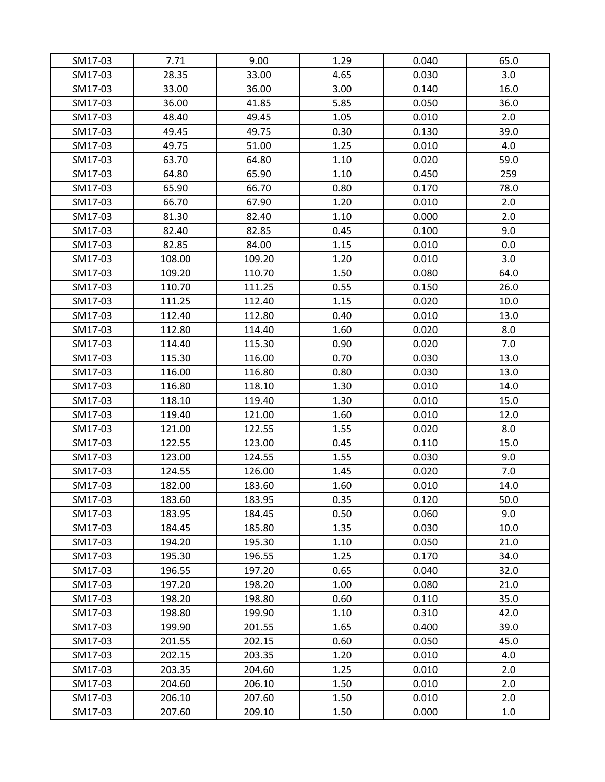| SM17-03 | 7.71   | 9.00   | 1.29 | 0.040 | 65.0 |
|---------|--------|--------|------|-------|------|
| SM17-03 | 28.35  | 33.00  | 4.65 | 0.030 | 3.0  |
| SM17-03 | 33.00  | 36.00  | 3.00 | 0.140 | 16.0 |
| SM17-03 | 36.00  | 41.85  | 5.85 | 0.050 | 36.0 |
| SM17-03 | 48.40  | 49.45  | 1.05 | 0.010 | 2.0  |
| SM17-03 | 49.45  | 49.75  | 0.30 | 0.130 | 39.0 |
| SM17-03 | 49.75  | 51.00  | 1.25 | 0.010 | 4.0  |
| SM17-03 | 63.70  | 64.80  | 1.10 | 0.020 | 59.0 |
| SM17-03 | 64.80  | 65.90  | 1.10 | 0.450 | 259  |
| SM17-03 | 65.90  | 66.70  | 0.80 | 0.170 | 78.0 |
| SM17-03 | 66.70  | 67.90  | 1.20 | 0.010 | 2.0  |
| SM17-03 | 81.30  | 82.40  | 1.10 | 0.000 | 2.0  |
| SM17-03 | 82.40  | 82.85  | 0.45 | 0.100 | 9.0  |
| SM17-03 | 82.85  | 84.00  | 1.15 | 0.010 | 0.0  |
| SM17-03 | 108.00 | 109.20 | 1.20 | 0.010 | 3.0  |
| SM17-03 | 109.20 | 110.70 | 1.50 | 0.080 | 64.0 |
| SM17-03 | 110.70 | 111.25 | 0.55 | 0.150 | 26.0 |
| SM17-03 | 111.25 | 112.40 | 1.15 | 0.020 | 10.0 |
| SM17-03 | 112.40 | 112.80 | 0.40 | 0.010 | 13.0 |
| SM17-03 | 112.80 | 114.40 | 1.60 | 0.020 | 8.0  |
| SM17-03 | 114.40 | 115.30 | 0.90 | 0.020 | 7.0  |
| SM17-03 | 115.30 | 116.00 | 0.70 | 0.030 | 13.0 |
| SM17-03 | 116.00 | 116.80 | 0.80 | 0.030 | 13.0 |
| SM17-03 | 116.80 | 118.10 | 1.30 | 0.010 | 14.0 |
| SM17-03 | 118.10 | 119.40 | 1.30 | 0.010 | 15.0 |
| SM17-03 | 119.40 | 121.00 | 1.60 | 0.010 | 12.0 |
| SM17-03 | 121.00 | 122.55 | 1.55 | 0.020 | 8.0  |
| SM17-03 | 122.55 | 123.00 | 0.45 | 0.110 | 15.0 |
| SM17-03 | 123.00 | 124.55 | 1.55 | 0.030 | 9.0  |
| SM17-03 | 124.55 | 126.00 | 1.45 | 0.020 | 7.0  |
| SM17-03 | 182.00 | 183.60 | 1.60 | 0.010 | 14.0 |
| SM17-03 | 183.60 | 183.95 | 0.35 | 0.120 | 50.0 |
| SM17-03 | 183.95 | 184.45 | 0.50 | 0.060 | 9.0  |
| SM17-03 | 184.45 | 185.80 | 1.35 | 0.030 | 10.0 |
| SM17-03 | 194.20 | 195.30 | 1.10 | 0.050 | 21.0 |
| SM17-03 | 195.30 | 196.55 | 1.25 | 0.170 | 34.0 |
| SM17-03 | 196.55 | 197.20 | 0.65 | 0.040 | 32.0 |
| SM17-03 | 197.20 | 198.20 | 1.00 | 0.080 | 21.0 |
| SM17-03 | 198.20 | 198.80 | 0.60 | 0.110 | 35.0 |
| SM17-03 | 198.80 | 199.90 | 1.10 | 0.310 | 42.0 |
| SM17-03 | 199.90 | 201.55 | 1.65 | 0.400 | 39.0 |
| SM17-03 | 201.55 | 202.15 | 0.60 | 0.050 | 45.0 |
| SM17-03 | 202.15 | 203.35 | 1.20 | 0.010 | 4.0  |
| SM17-03 | 203.35 | 204.60 | 1.25 | 0.010 | 2.0  |
| SM17-03 | 204.60 | 206.10 | 1.50 | 0.010 | 2.0  |
| SM17-03 | 206.10 | 207.60 | 1.50 | 0.010 | 2.0  |
| SM17-03 | 207.60 | 209.10 | 1.50 | 0.000 | 1.0  |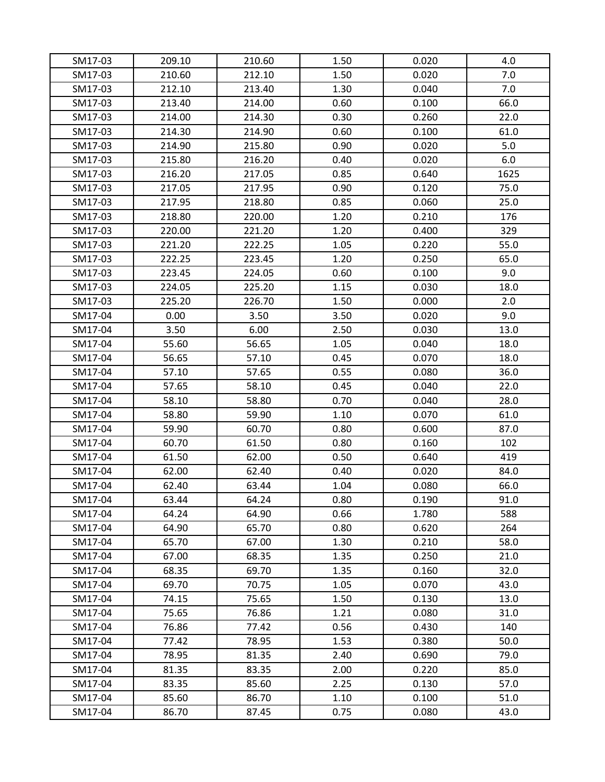| SM17-03<br>SM17-03 | 209.10<br>210.60 | 210.60<br>212.10 | 1.50<br>1.50 | 0.020<br>0.020 | 4.0<br>7.0 |
|--------------------|------------------|------------------|--------------|----------------|------------|
| SM17-03            | 212.10           | 213.40           | 1.30         | 0.040          | 7.0        |
| SM17-03            | 213.40           | 214.00           | 0.60         | 0.100          | 66.0       |
|                    |                  |                  |              |                |            |
| SM17-03            | 214.00           | 214.30           | 0.30         | 0.260          | 22.0       |
| SM17-03            | 214.30           | 214.90           | 0.60         | 0.100          | 61.0       |
| SM17-03            | 214.90           | 215.80           | 0.90         | 0.020          | 5.0        |
| SM17-03            | 215.80           | 216.20           | 0.40         | 0.020          | 6.0        |
| SM17-03            | 216.20           | 217.05           | 0.85         | 0.640          | 1625       |
| SM17-03            | 217.05           | 217.95           | 0.90         | 0.120          | 75.0       |
| SM17-03            | 217.95           | 218.80           | 0.85         | 0.060          | 25.0       |
| SM17-03            | 218.80           | 220.00           | 1.20         | 0.210          | 176        |
| SM17-03            | 220.00           | 221.20           | 1.20         | 0.400          | 329        |
| SM17-03            | 221.20           | 222.25           | 1.05         | 0.220          | 55.0       |
| SM17-03            | 222.25           | 223.45           | 1.20         | 0.250          | 65.0       |
| SM17-03            | 223.45           | 224.05           | 0.60         | 0.100          | 9.0        |
| SM17-03            | 224.05           | 225.20           | 1.15         | 0.030          | 18.0       |
| SM17-03            | 225.20           | 226.70           | 1.50         | 0.000          | 2.0        |
| SM17-04            | 0.00             | 3.50             | 3.50         | 0.020          | 9.0        |
| SM17-04            | 3.50             | 6.00             | 2.50         | 0.030          | 13.0       |
| SM17-04            | 55.60            | 56.65            | 1.05         | 0.040          | 18.0       |
| SM17-04            | 56.65            | 57.10            | 0.45         | 0.070          | 18.0       |
| SM17-04            | 57.10            | 57.65            | 0.55         | 0.080          | 36.0       |
| SM17-04            | 57.65            | 58.10            | 0.45         | 0.040          | 22.0       |
| SM17-04            | 58.10            | 58.80            | 0.70         | 0.040          | 28.0       |
| SM17-04            | 58.80            | 59.90            | 1.10         | 0.070          | 61.0       |
| SM17-04            | 59.90            | 60.70            | 0.80         | 0.600          | 87.0       |
| SM17-04            | 60.70            | 61.50            | 0.80         | 0.160          | 102        |
| SM17-04            | 61.50            | 62.00            | 0.50         | 0.640          | 419        |
| SM17-04            | 62.00            | 62.40            | 0.40         | 0.020          | 84.0       |
| SM17-04            | 62.40            | 63.44            | 1.04         | 0.080          | 66.0       |
| SM17-04            | 63.44            | 64.24            | 0.80         | 0.190          | 91.0       |
| SM17-04            | 64.24            | 64.90            | 0.66         | 1.780          | 588        |
| SM17-04            | 64.90            | 65.70            | 0.80         | 0.620          | 264        |
| SM17-04            | 65.70            | 67.00            | 1.30         | 0.210          | 58.0       |
| SM17-04            | 67.00            | 68.35            | 1.35         | 0.250          | 21.0       |
| SM17-04            | 68.35            | 69.70            | 1.35         | 0.160          | 32.0       |
| SM17-04            | 69.70            | 70.75            | 1.05         | 0.070          | 43.0       |
| SM17-04            | 74.15            | 75.65            | 1.50         | 0.130          | 13.0       |
| SM17-04            | 75.65            | 76.86            | 1.21         | 0.080          | 31.0       |
| SM17-04            | 76.86            | 77.42            | 0.56         | 0.430          | 140        |
| SM17-04            | 77.42            | 78.95            | 1.53         | 0.380          | 50.0       |
| SM17-04            | 78.95            | 81.35            | 2.40         | 0.690          | 79.0       |
| SM17-04            | 81.35            | 83.35            | 2.00         | 0.220          | 85.0       |
| SM17-04            | 83.35            | 85.60            | 2.25         | 0.130          | 57.0       |
| SM17-04            | 85.60            | 86.70            | 1.10         | 0.100          | 51.0       |
| SM17-04            | 86.70            | 87.45            | 0.75         | 0.080          | 43.0       |
|                    |                  |                  |              |                |            |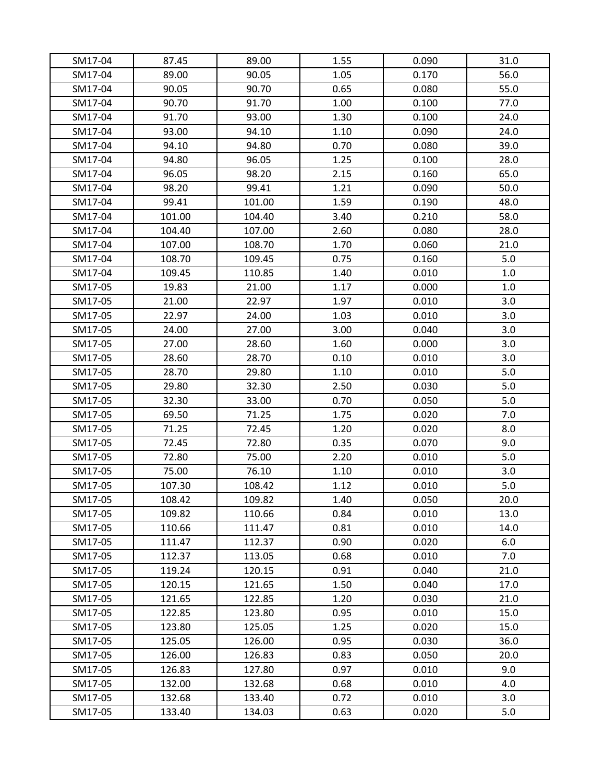| SM17-04 | 87.45  | 89.00  | 1.55 | 0.090 | 31.0 |
|---------|--------|--------|------|-------|------|
| SM17-04 | 89.00  | 90.05  | 1.05 | 0.170 | 56.0 |
| SM17-04 | 90.05  | 90.70  | 0.65 | 0.080 | 55.0 |
| SM17-04 | 90.70  | 91.70  | 1.00 | 0.100 | 77.0 |
| SM17-04 | 91.70  | 93.00  | 1.30 | 0.100 | 24.0 |
| SM17-04 | 93.00  | 94.10  | 1.10 | 0.090 | 24.0 |
| SM17-04 | 94.10  | 94.80  | 0.70 | 0.080 | 39.0 |
| SM17-04 | 94.80  | 96.05  | 1.25 | 0.100 | 28.0 |
| SM17-04 | 96.05  | 98.20  | 2.15 | 0.160 | 65.0 |
| SM17-04 | 98.20  | 99.41  | 1.21 | 0.090 | 50.0 |
| SM17-04 | 99.41  | 101.00 | 1.59 | 0.190 | 48.0 |
| SM17-04 | 101.00 | 104.40 | 3.40 | 0.210 | 58.0 |
| SM17-04 | 104.40 | 107.00 | 2.60 | 0.080 | 28.0 |
| SM17-04 | 107.00 | 108.70 | 1.70 | 0.060 | 21.0 |
| SM17-04 | 108.70 | 109.45 | 0.75 | 0.160 | 5.0  |
| SM17-04 | 109.45 | 110.85 | 1.40 | 0.010 | 1.0  |
| SM17-05 | 19.83  | 21.00  | 1.17 | 0.000 | 1.0  |
| SM17-05 | 21.00  | 22.97  | 1.97 | 0.010 | 3.0  |
| SM17-05 | 22.97  | 24.00  | 1.03 | 0.010 | 3.0  |
| SM17-05 | 24.00  | 27.00  | 3.00 | 0.040 | 3.0  |
| SM17-05 | 27.00  | 28.60  | 1.60 | 0.000 | 3.0  |
| SM17-05 | 28.60  | 28.70  | 0.10 | 0.010 | 3.0  |
| SM17-05 | 28.70  | 29.80  | 1.10 | 0.010 | 5.0  |
| SM17-05 | 29.80  | 32.30  | 2.50 | 0.030 | 5.0  |
| SM17-05 | 32.30  | 33.00  | 0.70 | 0.050 | 5.0  |
| SM17-05 | 69.50  | 71.25  | 1.75 | 0.020 | 7.0  |
| SM17-05 | 71.25  | 72.45  | 1.20 | 0.020 | 8.0  |
| SM17-05 | 72.45  | 72.80  | 0.35 | 0.070 | 9.0  |
| SM17-05 | 72.80  | 75.00  | 2.20 | 0.010 | 5.0  |
| SM17-05 | 75.00  | 76.10  | 1.10 | 0.010 | 3.0  |
| SM17-05 | 107.30 | 108.42 | 1.12 | 0.010 | 5.0  |
| SM17-05 | 108.42 | 109.82 | 1.40 | 0.050 | 20.0 |
| SM17-05 | 109.82 | 110.66 | 0.84 | 0.010 | 13.0 |
| SM17-05 | 110.66 | 111.47 | 0.81 | 0.010 | 14.0 |
| SM17-05 | 111.47 | 112.37 | 0.90 | 0.020 | 6.0  |
| SM17-05 | 112.37 | 113.05 | 0.68 | 0.010 | 7.0  |
| SM17-05 | 119.24 | 120.15 | 0.91 | 0.040 | 21.0 |
| SM17-05 | 120.15 | 121.65 | 1.50 | 0.040 | 17.0 |
| SM17-05 | 121.65 | 122.85 | 1.20 | 0.030 | 21.0 |
| SM17-05 | 122.85 | 123.80 | 0.95 | 0.010 | 15.0 |
| SM17-05 | 123.80 | 125.05 | 1.25 | 0.020 | 15.0 |
| SM17-05 | 125.05 | 126.00 | 0.95 | 0.030 | 36.0 |
| SM17-05 | 126.00 | 126.83 | 0.83 | 0.050 | 20.0 |
| SM17-05 | 126.83 | 127.80 | 0.97 | 0.010 | 9.0  |
| SM17-05 | 132.00 | 132.68 | 0.68 | 0.010 | 4.0  |
| SM17-05 | 132.68 | 133.40 | 0.72 | 0.010 | 3.0  |
| SM17-05 | 133.40 | 134.03 | 0.63 | 0.020 | 5.0  |
|         |        |        |      |       |      |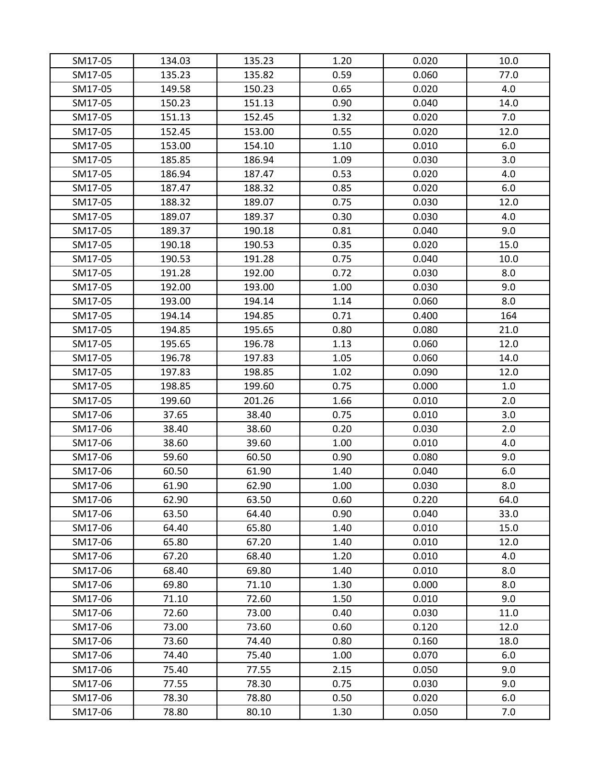| SM17-05 | 134.03 | 135.23 | 1.20 | 0.020 | 10.0 |
|---------|--------|--------|------|-------|------|
| SM17-05 | 135.23 | 135.82 | 0.59 | 0.060 | 77.0 |
| SM17-05 | 149.58 | 150.23 | 0.65 | 0.020 | 4.0  |
| SM17-05 | 150.23 | 151.13 | 0.90 | 0.040 | 14.0 |
| SM17-05 | 151.13 | 152.45 | 1.32 | 0.020 | 7.0  |
| SM17-05 | 152.45 | 153.00 | 0.55 | 0.020 | 12.0 |
| SM17-05 | 153.00 | 154.10 | 1.10 | 0.010 | 6.0  |
| SM17-05 | 185.85 | 186.94 | 1.09 | 0.030 | 3.0  |
| SM17-05 | 186.94 | 187.47 | 0.53 | 0.020 | 4.0  |
| SM17-05 | 187.47 | 188.32 | 0.85 | 0.020 | 6.0  |
| SM17-05 | 188.32 | 189.07 | 0.75 | 0.030 | 12.0 |
| SM17-05 | 189.07 | 189.37 | 0.30 | 0.030 | 4.0  |
| SM17-05 | 189.37 | 190.18 | 0.81 | 0.040 | 9.0  |
| SM17-05 | 190.18 | 190.53 | 0.35 | 0.020 | 15.0 |
| SM17-05 | 190.53 | 191.28 | 0.75 | 0.040 | 10.0 |
| SM17-05 | 191.28 | 192.00 | 0.72 | 0.030 | 8.0  |
| SM17-05 | 192.00 | 193.00 | 1.00 | 0.030 | 9.0  |
| SM17-05 | 193.00 | 194.14 | 1.14 | 0.060 | 8.0  |
| SM17-05 | 194.14 | 194.85 | 0.71 | 0.400 | 164  |
| SM17-05 | 194.85 | 195.65 | 0.80 | 0.080 | 21.0 |
| SM17-05 | 195.65 | 196.78 | 1.13 | 0.060 | 12.0 |
| SM17-05 | 196.78 | 197.83 | 1.05 | 0.060 | 14.0 |
| SM17-05 | 197.83 | 198.85 | 1.02 | 0.090 | 12.0 |
| SM17-05 | 198.85 | 199.60 | 0.75 | 0.000 | 1.0  |
| SM17-05 | 199.60 | 201.26 | 1.66 | 0.010 | 2.0  |
| SM17-06 | 37.65  | 38.40  | 0.75 | 0.010 | 3.0  |
| SM17-06 | 38.40  | 38.60  | 0.20 | 0.030 | 2.0  |
| SM17-06 | 38.60  | 39.60  | 1.00 | 0.010 | 4.0  |
| SM17-06 | 59.60  | 60.50  | 0.90 | 0.080 | 9.0  |
| SM17-06 | 60.50  | 61.90  | 1.40 | 0.040 | 6.0  |
| SM17-06 | 61.90  | 62.90  | 1.00 | 0.030 | 8.0  |
| SM17-06 | 62.90  | 63.50  | 0.60 | 0.220 | 64.0 |
| SM17-06 | 63.50  | 64.40  | 0.90 | 0.040 | 33.0 |
| SM17-06 | 64.40  | 65.80  | 1.40 | 0.010 | 15.0 |
| SM17-06 | 65.80  | 67.20  | 1.40 | 0.010 | 12.0 |
| SM17-06 | 67.20  | 68.40  | 1.20 | 0.010 | 4.0  |
| SM17-06 | 68.40  | 69.80  | 1.40 | 0.010 | 8.0  |
| SM17-06 | 69.80  | 71.10  | 1.30 | 0.000 | 8.0  |
| SM17-06 | 71.10  | 72.60  | 1.50 | 0.010 | 9.0  |
| SM17-06 | 72.60  | 73.00  | 0.40 | 0.030 | 11.0 |
| SM17-06 | 73.00  | 73.60  | 0.60 | 0.120 | 12.0 |
| SM17-06 | 73.60  | 74.40  | 0.80 | 0.160 | 18.0 |
| SM17-06 | 74.40  | 75.40  | 1.00 | 0.070 | 6.0  |
| SM17-06 | 75.40  | 77.55  | 2.15 | 0.050 | 9.0  |
| SM17-06 | 77.55  | 78.30  | 0.75 | 0.030 | 9.0  |
| SM17-06 | 78.30  | 78.80  | 0.50 | 0.020 | 6.0  |
| SM17-06 | 78.80  | 80.10  | 1.30 | 0.050 | 7.0  |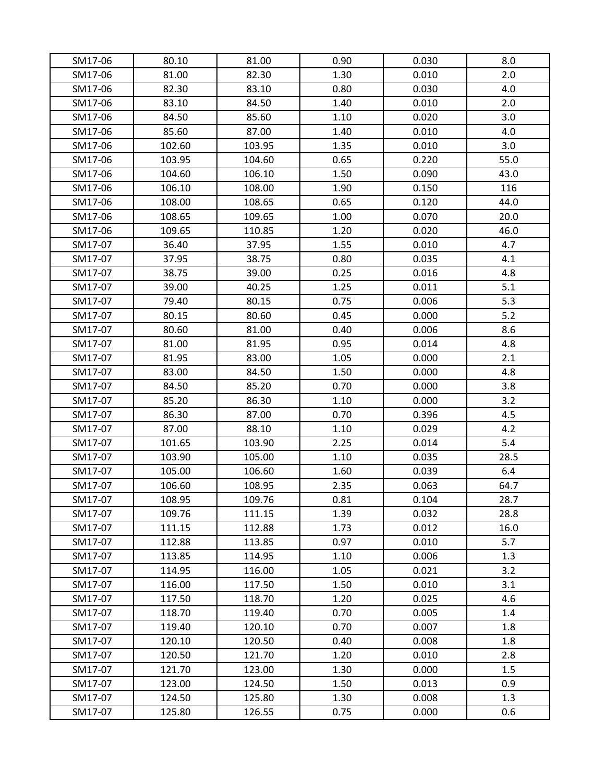| SM17-06 | 80.10  | 81.00  | 0.90 | 0.030 | 8.0  |
|---------|--------|--------|------|-------|------|
| SM17-06 | 81.00  | 82.30  | 1.30 | 0.010 | 2.0  |
| SM17-06 | 82.30  | 83.10  | 0.80 | 0.030 | 4.0  |
| SM17-06 | 83.10  | 84.50  | 1.40 | 0.010 | 2.0  |
| SM17-06 | 84.50  | 85.60  | 1.10 | 0.020 | 3.0  |
| SM17-06 | 85.60  | 87.00  | 1.40 | 0.010 | 4.0  |
| SM17-06 | 102.60 | 103.95 | 1.35 | 0.010 | 3.0  |
| SM17-06 | 103.95 | 104.60 | 0.65 | 0.220 | 55.0 |
| SM17-06 | 104.60 | 106.10 | 1.50 | 0.090 | 43.0 |
| SM17-06 | 106.10 | 108.00 | 1.90 | 0.150 | 116  |
| SM17-06 | 108.00 | 108.65 | 0.65 | 0.120 | 44.0 |
| SM17-06 | 108.65 | 109.65 | 1.00 | 0.070 | 20.0 |
| SM17-06 | 109.65 | 110.85 | 1.20 | 0.020 | 46.0 |
| SM17-07 | 36.40  | 37.95  | 1.55 | 0.010 | 4.7  |
| SM17-07 | 37.95  | 38.75  | 0.80 | 0.035 | 4.1  |
| SM17-07 | 38.75  | 39.00  | 0.25 | 0.016 | 4.8  |
| SM17-07 | 39.00  | 40.25  | 1.25 | 0.011 | 5.1  |
| SM17-07 | 79.40  | 80.15  | 0.75 | 0.006 | 5.3  |
| SM17-07 | 80.15  | 80.60  | 0.45 | 0.000 | 5.2  |
| SM17-07 | 80.60  | 81.00  | 0.40 | 0.006 | 8.6  |
| SM17-07 | 81.00  | 81.95  | 0.95 | 0.014 | 4.8  |
| SM17-07 | 81.95  | 83.00  | 1.05 | 0.000 | 2.1  |
| SM17-07 | 83.00  | 84.50  | 1.50 | 0.000 | 4.8  |
| SM17-07 | 84.50  | 85.20  | 0.70 | 0.000 | 3.8  |
| SM17-07 | 85.20  | 86.30  | 1.10 | 0.000 | 3.2  |
| SM17-07 | 86.30  | 87.00  | 0.70 | 0.396 | 4.5  |
| SM17-07 | 87.00  | 88.10  | 1.10 | 0.029 | 4.2  |
| SM17-07 | 101.65 | 103.90 | 2.25 | 0.014 | 5.4  |
| SM17-07 | 103.90 | 105.00 | 1.10 | 0.035 | 28.5 |
| SM17-07 | 105.00 | 106.60 | 1.60 | 0.039 | 6.4  |
| SM17-07 | 106.60 | 108.95 | 2.35 | 0.063 | 64.7 |
| SM17-07 | 108.95 | 109.76 | 0.81 | 0.104 | 28.7 |
| SM17-07 | 109.76 | 111.15 | 1.39 | 0.032 | 28.8 |
| SM17-07 | 111.15 | 112.88 | 1.73 | 0.012 | 16.0 |
| SM17-07 | 112.88 | 113.85 | 0.97 | 0.010 | 5.7  |
| SM17-07 | 113.85 | 114.95 | 1.10 | 0.006 | 1.3  |
| SM17-07 | 114.95 | 116.00 | 1.05 | 0.021 | 3.2  |
| SM17-07 | 116.00 | 117.50 | 1.50 | 0.010 | 3.1  |
| SM17-07 | 117.50 | 118.70 | 1.20 | 0.025 | 4.6  |
| SM17-07 | 118.70 | 119.40 | 0.70 | 0.005 | 1.4  |
| SM17-07 | 119.40 | 120.10 | 0.70 | 0.007 | 1.8  |
| SM17-07 | 120.10 | 120.50 | 0.40 | 0.008 | 1.8  |
| SM17-07 | 120.50 | 121.70 | 1.20 | 0.010 | 2.8  |
| SM17-07 | 121.70 | 123.00 | 1.30 | 0.000 | 1.5  |
| SM17-07 | 123.00 | 124.50 | 1.50 | 0.013 | 0.9  |
| SM17-07 | 124.50 | 125.80 | 1.30 | 0.008 | 1.3  |
| SM17-07 | 125.80 | 126.55 | 0.75 | 0.000 | 0.6  |
|         |        |        |      |       |      |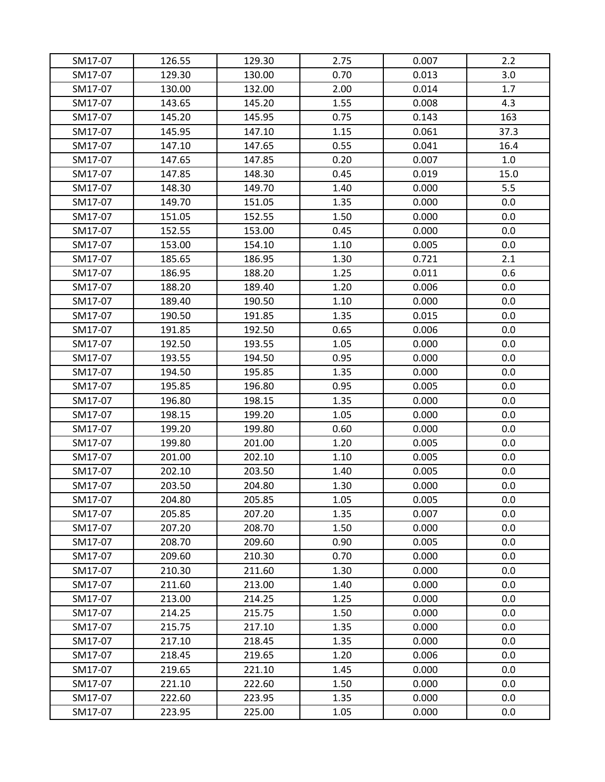| SM17-07 | 126.55 | 129.30 | 2.75 | 0.007 | 2.2  |
|---------|--------|--------|------|-------|------|
| SM17-07 | 129.30 | 130.00 | 0.70 | 0.013 | 3.0  |
| SM17-07 | 130.00 | 132.00 | 2.00 | 0.014 | 1.7  |
| SM17-07 | 143.65 | 145.20 | 1.55 | 0.008 | 4.3  |
| SM17-07 | 145.20 | 145.95 | 0.75 | 0.143 | 163  |
| SM17-07 | 145.95 | 147.10 | 1.15 | 0.061 | 37.3 |
| SM17-07 | 147.10 | 147.65 | 0.55 | 0.041 | 16.4 |
| SM17-07 | 147.65 | 147.85 | 0.20 | 0.007 | 1.0  |
| SM17-07 | 147.85 | 148.30 | 0.45 | 0.019 | 15.0 |
| SM17-07 | 148.30 | 149.70 | 1.40 | 0.000 | 5.5  |
| SM17-07 | 149.70 | 151.05 | 1.35 | 0.000 | 0.0  |
| SM17-07 | 151.05 | 152.55 | 1.50 | 0.000 | 0.0  |
| SM17-07 | 152.55 | 153.00 | 0.45 | 0.000 | 0.0  |
| SM17-07 | 153.00 | 154.10 | 1.10 | 0.005 | 0.0  |
| SM17-07 | 185.65 | 186.95 | 1.30 | 0.721 | 2.1  |
| SM17-07 | 186.95 | 188.20 | 1.25 | 0.011 | 0.6  |
| SM17-07 | 188.20 | 189.40 | 1.20 | 0.006 | 0.0  |
| SM17-07 | 189.40 | 190.50 | 1.10 | 0.000 | 0.0  |
| SM17-07 | 190.50 | 191.85 | 1.35 | 0.015 | 0.0  |
| SM17-07 | 191.85 | 192.50 | 0.65 | 0.006 | 0.0  |
| SM17-07 | 192.50 | 193.55 | 1.05 | 0.000 | 0.0  |
| SM17-07 | 193.55 | 194.50 | 0.95 | 0.000 | 0.0  |
| SM17-07 | 194.50 | 195.85 | 1.35 | 0.000 | 0.0  |
| SM17-07 | 195.85 | 196.80 | 0.95 | 0.005 | 0.0  |
| SM17-07 | 196.80 | 198.15 | 1.35 | 0.000 | 0.0  |
| SM17-07 | 198.15 | 199.20 | 1.05 | 0.000 | 0.0  |
| SM17-07 | 199.20 | 199.80 | 0.60 | 0.000 | 0.0  |
| SM17-07 | 199.80 | 201.00 | 1.20 | 0.005 | 0.0  |
| SM17-07 | 201.00 | 202.10 | 1.10 | 0.005 | 0.0  |
| SM17-07 | 202.10 | 203.50 | 1.40 | 0.005 | 0.0  |
| SM17-07 | 203.50 | 204.80 | 1.30 | 0.000 | 0.0  |
| SM17-07 | 204.80 | 205.85 | 1.05 | 0.005 | 0.0  |
| SM17-07 | 205.85 | 207.20 | 1.35 | 0.007 | 0.0  |
| SM17-07 | 207.20 | 208.70 | 1.50 | 0.000 | 0.0  |
| SM17-07 | 208.70 | 209.60 | 0.90 | 0.005 | 0.0  |
| SM17-07 | 209.60 | 210.30 | 0.70 | 0.000 | 0.0  |
| SM17-07 | 210.30 | 211.60 | 1.30 | 0.000 | 0.0  |
| SM17-07 | 211.60 | 213.00 | 1.40 | 0.000 | 0.0  |
| SM17-07 | 213.00 | 214.25 | 1.25 | 0.000 | 0.0  |
| SM17-07 | 214.25 | 215.75 | 1.50 | 0.000 | 0.0  |
| SM17-07 | 215.75 | 217.10 | 1.35 | 0.000 | 0.0  |
| SM17-07 | 217.10 | 218.45 | 1.35 | 0.000 | 0.0  |
| SM17-07 | 218.45 | 219.65 | 1.20 | 0.006 | 0.0  |
| SM17-07 | 219.65 | 221.10 | 1.45 | 0.000 | 0.0  |
| SM17-07 | 221.10 | 222.60 | 1.50 | 0.000 | 0.0  |
| SM17-07 | 222.60 | 223.95 | 1.35 | 0.000 | 0.0  |
| SM17-07 | 223.95 | 225.00 | 1.05 | 0.000 | 0.0  |
|         |        |        |      |       |      |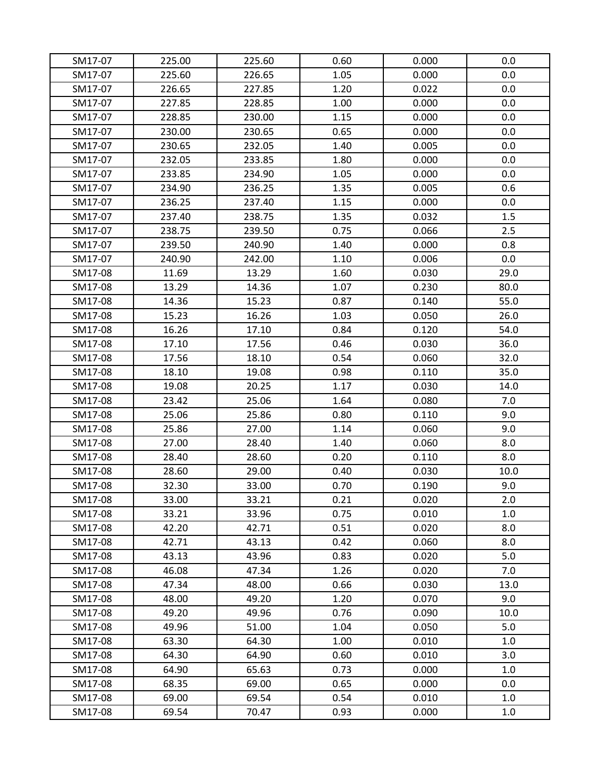| SM17-07 | 225.00 | 225.60 | 0.60 | 0.000 | 0.0     |
|---------|--------|--------|------|-------|---------|
| SM17-07 | 225.60 | 226.65 | 1.05 | 0.000 | 0.0     |
| SM17-07 | 226.65 | 227.85 | 1.20 | 0.022 | 0.0     |
| SM17-07 | 227.85 | 228.85 | 1.00 | 0.000 | 0.0     |
| SM17-07 | 228.85 | 230.00 | 1.15 | 0.000 | 0.0     |
| SM17-07 | 230.00 | 230.65 | 0.65 | 0.000 | 0.0     |
| SM17-07 | 230.65 | 232.05 | 1.40 | 0.005 | 0.0     |
| SM17-07 | 232.05 | 233.85 | 1.80 | 0.000 | 0.0     |
| SM17-07 | 233.85 | 234.90 | 1.05 | 0.000 | 0.0     |
| SM17-07 | 234.90 | 236.25 | 1.35 | 0.005 | 0.6     |
| SM17-07 | 236.25 | 237.40 | 1.15 | 0.000 | $0.0\,$ |
| SM17-07 | 237.40 | 238.75 | 1.35 | 0.032 | 1.5     |
| SM17-07 | 238.75 | 239.50 | 0.75 | 0.066 | 2.5     |
| SM17-07 | 239.50 | 240.90 | 1.40 | 0.000 | 0.8     |
| SM17-07 | 240.90 | 242.00 | 1.10 | 0.006 | 0.0     |
| SM17-08 | 11.69  | 13.29  | 1.60 | 0.030 | 29.0    |
| SM17-08 | 13.29  | 14.36  | 1.07 | 0.230 | 80.0    |
| SM17-08 | 14.36  | 15.23  | 0.87 | 0.140 | 55.0    |
| SM17-08 | 15.23  | 16.26  | 1.03 | 0.050 | 26.0    |
| SM17-08 | 16.26  | 17.10  | 0.84 | 0.120 | 54.0    |
| SM17-08 | 17.10  | 17.56  | 0.46 | 0.030 | 36.0    |
| SM17-08 | 17.56  | 18.10  | 0.54 | 0.060 | 32.0    |
| SM17-08 | 18.10  | 19.08  | 0.98 | 0.110 | 35.0    |
| SM17-08 | 19.08  | 20.25  | 1.17 | 0.030 | 14.0    |
| SM17-08 | 23.42  | 25.06  | 1.64 | 0.080 | 7.0     |
| SM17-08 | 25.06  | 25.86  | 0.80 | 0.110 | 9.0     |
| SM17-08 | 25.86  | 27.00  | 1.14 | 0.060 | 9.0     |
| SM17-08 | 27.00  | 28.40  | 1.40 | 0.060 | 8.0     |
| SM17-08 | 28.40  | 28.60  | 0.20 | 0.110 | 8.0     |
| SM17-08 | 28.60  | 29.00  | 0.40 | 0.030 | 10.0    |
| SM17-08 | 32.30  | 33.00  | 0.70 | 0.190 | 9.0     |
| SM17-08 | 33.00  | 33.21  | 0.21 | 0.020 | 2.0     |
| SM17-08 | 33.21  | 33.96  | 0.75 | 0.010 | 1.0     |
| SM17-08 | 42.20  | 42.71  | 0.51 | 0.020 | 8.0     |
| SM17-08 | 42.71  | 43.13  | 0.42 | 0.060 | 8.0     |
| SM17-08 | 43.13  | 43.96  | 0.83 | 0.020 | 5.0     |
| SM17-08 | 46.08  | 47.34  | 1.26 | 0.020 | 7.0     |
| SM17-08 | 47.34  | 48.00  | 0.66 | 0.030 | 13.0    |
| SM17-08 | 48.00  | 49.20  | 1.20 | 0.070 | 9.0     |
| SM17-08 | 49.20  | 49.96  | 0.76 | 0.090 | 10.0    |
| SM17-08 | 49.96  | 51.00  | 1.04 | 0.050 | 5.0     |
| SM17-08 | 63.30  | 64.30  | 1.00 | 0.010 | 1.0     |
| SM17-08 | 64.30  | 64.90  | 0.60 | 0.010 | 3.0     |
| SM17-08 | 64.90  | 65.63  | 0.73 | 0.000 | 1.0     |
| SM17-08 | 68.35  | 69.00  | 0.65 | 0.000 | 0.0     |
| SM17-08 | 69.00  | 69.54  | 0.54 | 0.010 | 1.0     |
| SM17-08 | 69.54  | 70.47  | 0.93 | 0.000 | 1.0     |
|         |        |        |      |       |         |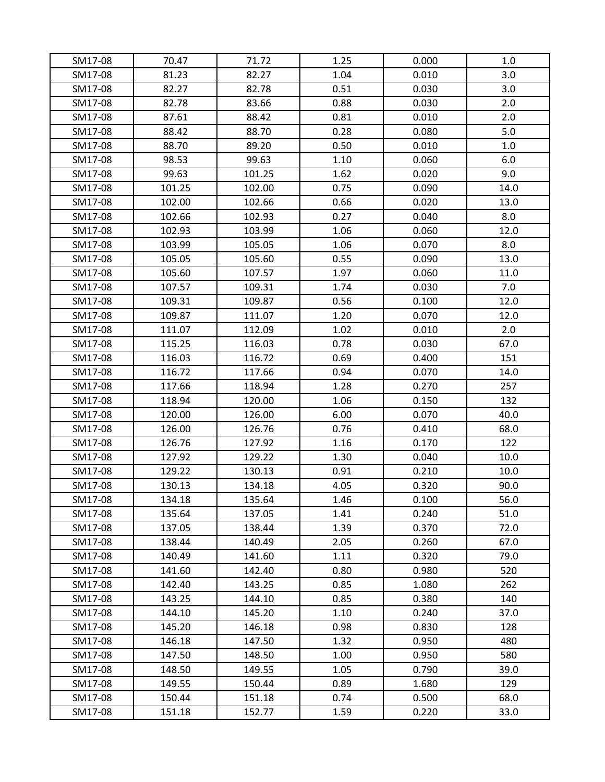| SM17-08 | 70.47  | 71.72  | 1.25 | 0.000 | 1.0  |
|---------|--------|--------|------|-------|------|
| SM17-08 | 81.23  | 82.27  | 1.04 | 0.010 | 3.0  |
| SM17-08 | 82.27  | 82.78  | 0.51 | 0.030 | 3.0  |
| SM17-08 | 82.78  | 83.66  | 0.88 | 0.030 | 2.0  |
| SM17-08 | 87.61  | 88.42  | 0.81 | 0.010 | 2.0  |
| SM17-08 | 88.42  | 88.70  | 0.28 | 0.080 | 5.0  |
| SM17-08 | 88.70  | 89.20  | 0.50 | 0.010 | 1.0  |
| SM17-08 | 98.53  | 99.63  | 1.10 | 0.060 | 6.0  |
| SM17-08 | 99.63  | 101.25 | 1.62 | 0.020 | 9.0  |
| SM17-08 | 101.25 | 102.00 | 0.75 | 0.090 | 14.0 |
| SM17-08 | 102.00 | 102.66 | 0.66 | 0.020 | 13.0 |
| SM17-08 | 102.66 | 102.93 | 0.27 | 0.040 | 8.0  |
| SM17-08 | 102.93 | 103.99 | 1.06 | 0.060 | 12.0 |
| SM17-08 | 103.99 | 105.05 | 1.06 | 0.070 | 8.0  |
| SM17-08 | 105.05 | 105.60 | 0.55 | 0.090 | 13.0 |
| SM17-08 | 105.60 | 107.57 | 1.97 | 0.060 | 11.0 |
| SM17-08 | 107.57 | 109.31 | 1.74 | 0.030 | 7.0  |
| SM17-08 | 109.31 | 109.87 | 0.56 | 0.100 | 12.0 |
| SM17-08 | 109.87 | 111.07 | 1.20 | 0.070 | 12.0 |
| SM17-08 | 111.07 | 112.09 | 1.02 | 0.010 | 2.0  |
| SM17-08 | 115.25 | 116.03 | 0.78 | 0.030 | 67.0 |
| SM17-08 | 116.03 | 116.72 | 0.69 | 0.400 | 151  |
| SM17-08 | 116.72 | 117.66 | 0.94 | 0.070 | 14.0 |
| SM17-08 | 117.66 | 118.94 | 1.28 | 0.270 | 257  |
| SM17-08 | 118.94 | 120.00 | 1.06 | 0.150 | 132  |
| SM17-08 | 120.00 | 126.00 | 6.00 | 0.070 | 40.0 |
| SM17-08 | 126.00 | 126.76 | 0.76 | 0.410 | 68.0 |
| SM17-08 | 126.76 | 127.92 | 1.16 | 0.170 | 122  |
| SM17-08 | 127.92 | 129.22 | 1.30 | 0.040 | 10.0 |
| SM17-08 | 129.22 | 130.13 | 0.91 | 0.210 | 10.0 |
| SM17-08 | 130.13 | 134.18 | 4.05 | 0.320 | 90.0 |
| SM17-08 | 134.18 | 135.64 | 1.46 | 0.100 | 56.0 |
| SM17-08 | 135.64 | 137.05 | 1.41 | 0.240 | 51.0 |
| SM17-08 | 137.05 | 138.44 | 1.39 | 0.370 | 72.0 |
| SM17-08 | 138.44 | 140.49 | 2.05 | 0.260 | 67.0 |
| SM17-08 | 140.49 | 141.60 | 1.11 | 0.320 | 79.0 |
| SM17-08 | 141.60 | 142.40 | 0.80 | 0.980 | 520  |
| SM17-08 | 142.40 | 143.25 | 0.85 | 1.080 | 262  |
| SM17-08 | 143.25 | 144.10 | 0.85 | 0.380 | 140  |
| SM17-08 | 144.10 | 145.20 | 1.10 | 0.240 | 37.0 |
| SM17-08 | 145.20 | 146.18 | 0.98 | 0.830 | 128  |
| SM17-08 | 146.18 | 147.50 | 1.32 | 0.950 | 480  |
| SM17-08 | 147.50 | 148.50 | 1.00 | 0.950 | 580  |
| SM17-08 | 148.50 | 149.55 | 1.05 | 0.790 | 39.0 |
| SM17-08 | 149.55 | 150.44 | 0.89 | 1.680 | 129  |
| SM17-08 | 150.44 | 151.18 | 0.74 | 0.500 | 68.0 |
| SM17-08 | 151.18 | 152.77 | 1.59 | 0.220 | 33.0 |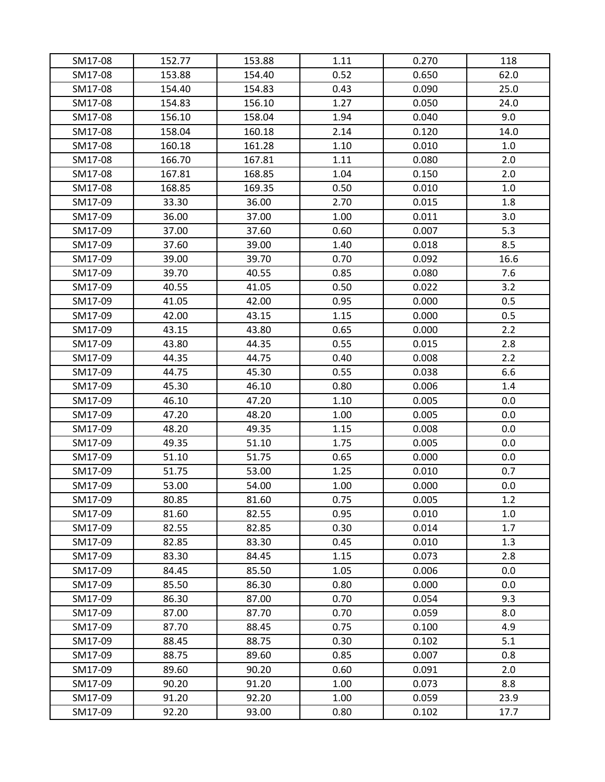| SM17-08 | 152.77 | 153.88 | 1.11 | 0.270 | 118  |
|---------|--------|--------|------|-------|------|
| SM17-08 | 153.88 | 154.40 | 0.52 | 0.650 | 62.0 |
| SM17-08 | 154.40 | 154.83 | 0.43 | 0.090 | 25.0 |
| SM17-08 | 154.83 | 156.10 | 1.27 | 0.050 | 24.0 |
| SM17-08 | 156.10 | 158.04 | 1.94 | 0.040 | 9.0  |
| SM17-08 | 158.04 | 160.18 | 2.14 | 0.120 | 14.0 |
| SM17-08 | 160.18 | 161.28 | 1.10 | 0.010 | 1.0  |
| SM17-08 | 166.70 | 167.81 | 1.11 | 0.080 | 2.0  |
| SM17-08 | 167.81 | 168.85 | 1.04 | 0.150 | 2.0  |
| SM17-08 | 168.85 | 169.35 | 0.50 | 0.010 | 1.0  |
| SM17-09 | 33.30  | 36.00  | 2.70 | 0.015 | 1.8  |
| SM17-09 | 36.00  | 37.00  | 1.00 | 0.011 | 3.0  |
| SM17-09 | 37.00  | 37.60  | 0.60 | 0.007 | 5.3  |
| SM17-09 | 37.60  | 39.00  | 1.40 | 0.018 | 8.5  |
| SM17-09 | 39.00  | 39.70  | 0.70 | 0.092 | 16.6 |
| SM17-09 | 39.70  | 40.55  | 0.85 | 0.080 | 7.6  |
| SM17-09 | 40.55  | 41.05  | 0.50 | 0.022 | 3.2  |
| SM17-09 | 41.05  | 42.00  | 0.95 | 0.000 | 0.5  |
| SM17-09 | 42.00  | 43.15  | 1.15 | 0.000 | 0.5  |
| SM17-09 | 43.15  | 43.80  | 0.65 | 0.000 | 2.2  |
| SM17-09 | 43.80  | 44.35  | 0.55 | 0.015 | 2.8  |
| SM17-09 | 44.35  | 44.75  | 0.40 | 0.008 | 2.2  |
| SM17-09 | 44.75  | 45.30  | 0.55 | 0.038 | 6.6  |
| SM17-09 | 45.30  | 46.10  | 0.80 | 0.006 | 1.4  |
| SM17-09 | 46.10  | 47.20  | 1.10 | 0.005 | 0.0  |
| SM17-09 | 47.20  | 48.20  | 1.00 | 0.005 | 0.0  |
| SM17-09 | 48.20  | 49.35  | 1.15 | 0.008 | 0.0  |
| SM17-09 | 49.35  | 51.10  | 1.75 | 0.005 | 0.0  |
| SM17-09 | 51.10  | 51.75  | 0.65 | 0.000 | 0.0  |
| SM17-09 | 51.75  | 53.00  | 1.25 | 0.010 | 0.7  |
| SM17-09 | 53.00  | 54.00  | 1.00 | 0.000 | 0.0  |
| SM17-09 | 80.85  | 81.60  | 0.75 | 0.005 | 1.2  |
| SM17-09 | 81.60  | 82.55  | 0.95 | 0.010 | 1.0  |
| SM17-09 | 82.55  | 82.85  | 0.30 | 0.014 | 1.7  |
| SM17-09 | 82.85  | 83.30  | 0.45 | 0.010 | 1.3  |
| SM17-09 | 83.30  | 84.45  | 1.15 | 0.073 | 2.8  |
| SM17-09 | 84.45  | 85.50  | 1.05 | 0.006 | 0.0  |
| SM17-09 | 85.50  | 86.30  | 0.80 | 0.000 | 0.0  |
| SM17-09 | 86.30  | 87.00  | 0.70 | 0.054 | 9.3  |
| SM17-09 | 87.00  | 87.70  | 0.70 | 0.059 | 8.0  |
| SM17-09 | 87.70  | 88.45  | 0.75 | 0.100 | 4.9  |
| SM17-09 | 88.45  | 88.75  | 0.30 | 0.102 | 5.1  |
| SM17-09 | 88.75  | 89.60  | 0.85 | 0.007 | 0.8  |
| SM17-09 | 89.60  | 90.20  | 0.60 | 0.091 | 2.0  |
| SM17-09 | 90.20  | 91.20  | 1.00 | 0.073 | 8.8  |
| SM17-09 | 91.20  | 92.20  | 1.00 | 0.059 | 23.9 |
| SM17-09 | 92.20  | 93.00  | 0.80 | 0.102 | 17.7 |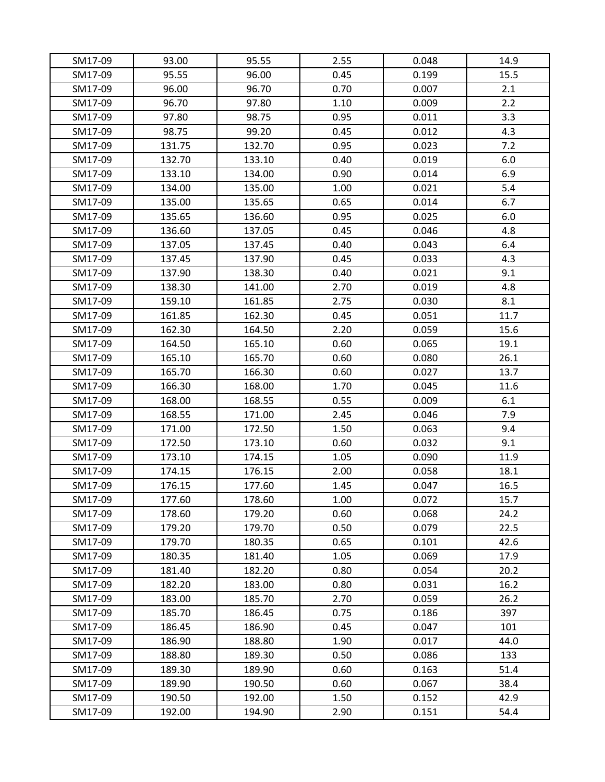| SM17-09 | 93.00  | 95.55  | 2.55 | 0.048 | 14.9 |
|---------|--------|--------|------|-------|------|
| SM17-09 | 95.55  | 96.00  | 0.45 | 0.199 | 15.5 |
| SM17-09 | 96.00  | 96.70  | 0.70 | 0.007 | 2.1  |
| SM17-09 | 96.70  | 97.80  | 1.10 | 0.009 | 2.2  |
| SM17-09 | 97.80  | 98.75  | 0.95 | 0.011 | 3.3  |
| SM17-09 | 98.75  | 99.20  | 0.45 | 0.012 | 4.3  |
| SM17-09 | 131.75 | 132.70 | 0.95 | 0.023 | 7.2  |
| SM17-09 | 132.70 | 133.10 | 0.40 | 0.019 | 6.0  |
| SM17-09 | 133.10 | 134.00 | 0.90 | 0.014 | 6.9  |
| SM17-09 | 134.00 | 135.00 | 1.00 | 0.021 | 5.4  |
| SM17-09 | 135.00 | 135.65 | 0.65 | 0.014 | 6.7  |
| SM17-09 | 135.65 | 136.60 | 0.95 | 0.025 | 6.0  |
| SM17-09 | 136.60 | 137.05 | 0.45 | 0.046 | 4.8  |
| SM17-09 | 137.05 | 137.45 | 0.40 | 0.043 | 6.4  |
| SM17-09 | 137.45 | 137.90 | 0.45 | 0.033 | 4.3  |
| SM17-09 | 137.90 | 138.30 | 0.40 | 0.021 | 9.1  |
| SM17-09 | 138.30 | 141.00 | 2.70 | 0.019 | 4.8  |
| SM17-09 | 159.10 | 161.85 | 2.75 | 0.030 | 8.1  |
| SM17-09 | 161.85 | 162.30 | 0.45 | 0.051 | 11.7 |
| SM17-09 | 162.30 | 164.50 | 2.20 | 0.059 | 15.6 |
| SM17-09 | 164.50 | 165.10 | 0.60 | 0.065 | 19.1 |
| SM17-09 | 165.10 | 165.70 | 0.60 | 0.080 | 26.1 |
| SM17-09 | 165.70 | 166.30 | 0.60 | 0.027 | 13.7 |
| SM17-09 | 166.30 | 168.00 | 1.70 | 0.045 | 11.6 |
| SM17-09 | 168.00 | 168.55 | 0.55 | 0.009 | 6.1  |
| SM17-09 | 168.55 | 171.00 | 2.45 | 0.046 | 7.9  |
| SM17-09 | 171.00 | 172.50 | 1.50 | 0.063 | 9.4  |
| SM17-09 | 172.50 | 173.10 | 0.60 | 0.032 | 9.1  |
| SM17-09 | 173.10 | 174.15 | 1.05 | 0.090 | 11.9 |
| SM17-09 | 174.15 | 176.15 | 2.00 | 0.058 | 18.1 |
| SM17-09 | 176.15 | 177.60 | 1.45 | 0.047 | 16.5 |
| SM17-09 | 177.60 | 178.60 | 1.00 | 0.072 | 15.7 |
| SM17-09 | 178.60 | 179.20 | 0.60 | 0.068 | 24.2 |
| SM17-09 | 179.20 | 179.70 | 0.50 | 0.079 | 22.5 |
| SM17-09 | 179.70 | 180.35 | 0.65 | 0.101 | 42.6 |
| SM17-09 | 180.35 | 181.40 | 1.05 | 0.069 | 17.9 |
| SM17-09 | 181.40 | 182.20 | 0.80 | 0.054 | 20.2 |
| SM17-09 | 182.20 | 183.00 | 0.80 | 0.031 | 16.2 |
| SM17-09 | 183.00 | 185.70 | 2.70 | 0.059 | 26.2 |
| SM17-09 | 185.70 | 186.45 | 0.75 | 0.186 | 397  |
| SM17-09 | 186.45 | 186.90 | 0.45 | 0.047 | 101  |
| SM17-09 | 186.90 | 188.80 | 1.90 | 0.017 | 44.0 |
| SM17-09 | 188.80 | 189.30 | 0.50 | 0.086 | 133  |
| SM17-09 | 189.30 | 189.90 | 0.60 | 0.163 | 51.4 |
| SM17-09 | 189.90 | 190.50 | 0.60 | 0.067 | 38.4 |
| SM17-09 | 190.50 | 192.00 | 1.50 | 0.152 | 42.9 |
| SM17-09 | 192.00 | 194.90 | 2.90 | 0.151 | 54.4 |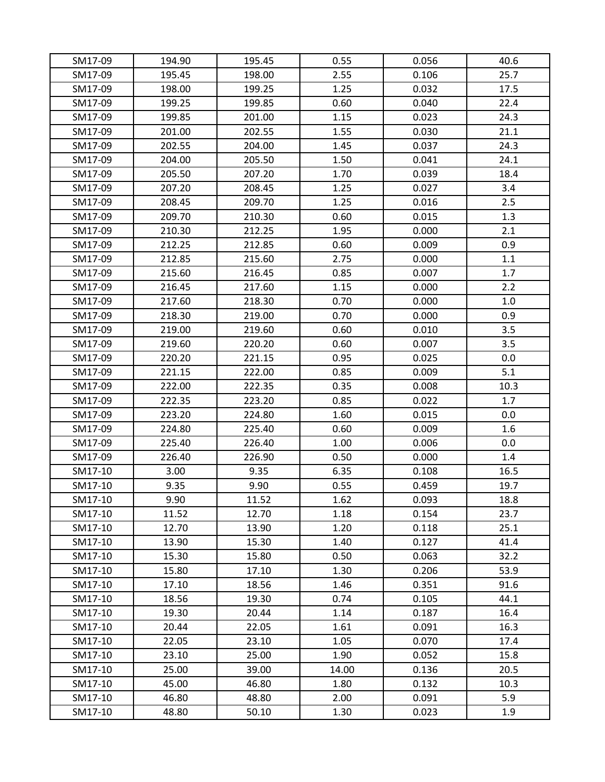| SM17-09 | 194.90 | 195.45 | 0.55  | 0.056 | 40.6 |
|---------|--------|--------|-------|-------|------|
| SM17-09 | 195.45 | 198.00 | 2.55  | 0.106 | 25.7 |
| SM17-09 | 198.00 | 199.25 | 1.25  | 0.032 | 17.5 |
| SM17-09 | 199.25 | 199.85 | 0.60  | 0.040 | 22.4 |
| SM17-09 | 199.85 | 201.00 | 1.15  | 0.023 | 24.3 |
| SM17-09 | 201.00 | 202.55 | 1.55  | 0.030 | 21.1 |
| SM17-09 | 202.55 | 204.00 | 1.45  | 0.037 | 24.3 |
| SM17-09 | 204.00 | 205.50 | 1.50  | 0.041 | 24.1 |
| SM17-09 | 205.50 | 207.20 | 1.70  | 0.039 | 18.4 |
| SM17-09 | 207.20 | 208.45 | 1.25  | 0.027 | 3.4  |
| SM17-09 | 208.45 | 209.70 | 1.25  | 0.016 | 2.5  |
| SM17-09 | 209.70 | 210.30 | 0.60  | 0.015 | 1.3  |
| SM17-09 | 210.30 | 212.25 | 1.95  | 0.000 | 2.1  |
| SM17-09 | 212.25 | 212.85 | 0.60  | 0.009 | 0.9  |
| SM17-09 | 212.85 | 215.60 | 2.75  | 0.000 | 1.1  |
| SM17-09 | 215.60 | 216.45 | 0.85  | 0.007 | 1.7  |
| SM17-09 | 216.45 | 217.60 | 1.15  | 0.000 | 2.2  |
| SM17-09 | 217.60 | 218.30 | 0.70  | 0.000 | 1.0  |
| SM17-09 | 218.30 | 219.00 | 0.70  | 0.000 | 0.9  |
| SM17-09 | 219.00 | 219.60 | 0.60  | 0.010 | 3.5  |
| SM17-09 | 219.60 | 220.20 | 0.60  | 0.007 | 3.5  |
| SM17-09 | 220.20 | 221.15 | 0.95  | 0.025 | 0.0  |
| SM17-09 | 221.15 | 222.00 | 0.85  | 0.009 | 5.1  |
| SM17-09 | 222.00 | 222.35 | 0.35  | 0.008 | 10.3 |
| SM17-09 | 222.35 | 223.20 | 0.85  | 0.022 | 1.7  |
| SM17-09 | 223.20 | 224.80 | 1.60  | 0.015 | 0.0  |
| SM17-09 | 224.80 | 225.40 | 0.60  | 0.009 | 1.6  |
| SM17-09 | 225.40 | 226.40 | 1.00  | 0.006 | 0.0  |
| SM17-09 | 226.40 | 226.90 | 0.50  | 0.000 | 1.4  |
| SM17-10 | 3.00   | 9.35   | 6.35  | 0.108 | 16.5 |
| SM17-10 | 9.35   | 9.90   | 0.55  | 0.459 | 19.7 |
| SM17-10 | 9.90   | 11.52  | 1.62  | 0.093 | 18.8 |
| SM17-10 | 11.52  | 12.70  | 1.18  | 0.154 | 23.7 |
| SM17-10 | 12.70  | 13.90  | 1.20  | 0.118 | 25.1 |
| SM17-10 | 13.90  | 15.30  | 1.40  | 0.127 | 41.4 |
| SM17-10 | 15.30  | 15.80  | 0.50  | 0.063 | 32.2 |
| SM17-10 | 15.80  | 17.10  | 1.30  | 0.206 | 53.9 |
| SM17-10 | 17.10  | 18.56  | 1.46  | 0.351 | 91.6 |
| SM17-10 | 18.56  | 19.30  | 0.74  | 0.105 | 44.1 |
| SM17-10 | 19.30  | 20.44  | 1.14  | 0.187 | 16.4 |
| SM17-10 | 20.44  | 22.05  | 1.61  | 0.091 | 16.3 |
| SM17-10 | 22.05  | 23.10  | 1.05  | 0.070 | 17.4 |
| SM17-10 | 23.10  | 25.00  | 1.90  | 0.052 | 15.8 |
| SM17-10 | 25.00  | 39.00  | 14.00 | 0.136 | 20.5 |
| SM17-10 | 45.00  | 46.80  | 1.80  | 0.132 | 10.3 |
| SM17-10 | 46.80  | 48.80  | 2.00  | 0.091 | 5.9  |
| SM17-10 | 48.80  | 50.10  | 1.30  | 0.023 | 1.9  |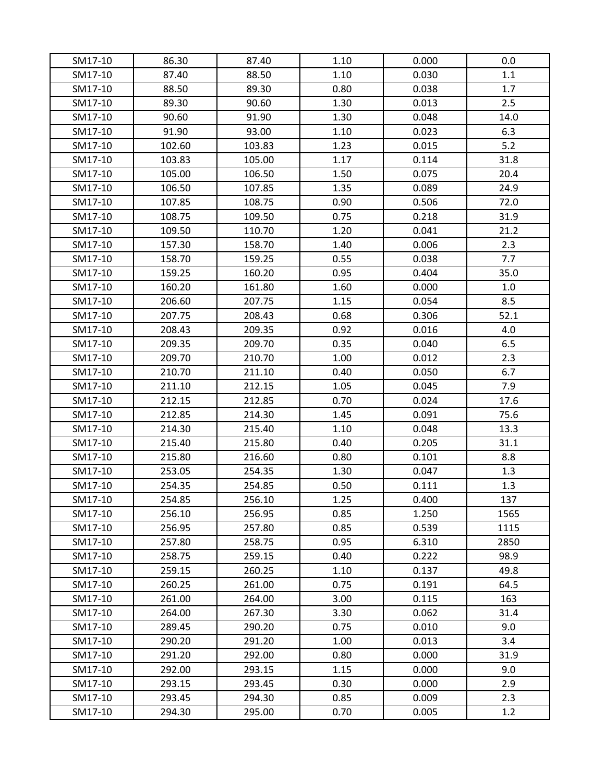| SM17-10 | 86.30  | 87.40  | 1.10 | 0.000 | 0.0  |
|---------|--------|--------|------|-------|------|
| SM17-10 | 87.40  | 88.50  | 1.10 | 0.030 | 1.1  |
| SM17-10 | 88.50  | 89.30  | 0.80 | 0.038 | 1.7  |
| SM17-10 | 89.30  | 90.60  | 1.30 | 0.013 | 2.5  |
| SM17-10 | 90.60  | 91.90  | 1.30 | 0.048 | 14.0 |
| SM17-10 | 91.90  | 93.00  | 1.10 | 0.023 | 6.3  |
| SM17-10 | 102.60 | 103.83 | 1.23 | 0.015 | 5.2  |
| SM17-10 | 103.83 | 105.00 | 1.17 | 0.114 | 31.8 |
| SM17-10 | 105.00 | 106.50 | 1.50 | 0.075 | 20.4 |
| SM17-10 | 106.50 | 107.85 | 1.35 | 0.089 | 24.9 |
| SM17-10 | 107.85 | 108.75 | 0.90 | 0.506 | 72.0 |
| SM17-10 | 108.75 | 109.50 | 0.75 | 0.218 | 31.9 |
| SM17-10 | 109.50 | 110.70 | 1.20 | 0.041 | 21.2 |
| SM17-10 | 157.30 | 158.70 | 1.40 | 0.006 | 2.3  |
| SM17-10 | 158.70 | 159.25 | 0.55 | 0.038 | 7.7  |
| SM17-10 | 159.25 | 160.20 | 0.95 | 0.404 | 35.0 |
| SM17-10 | 160.20 | 161.80 | 1.60 | 0.000 | 1.0  |
| SM17-10 | 206.60 | 207.75 | 1.15 | 0.054 | 8.5  |
| SM17-10 | 207.75 | 208.43 | 0.68 | 0.306 | 52.1 |
| SM17-10 | 208.43 | 209.35 | 0.92 | 0.016 | 4.0  |
| SM17-10 | 209.35 | 209.70 | 0.35 | 0.040 | 6.5  |
| SM17-10 | 209.70 | 210.70 | 1.00 | 0.012 | 2.3  |
| SM17-10 | 210.70 | 211.10 | 0.40 | 0.050 | 6.7  |
| SM17-10 | 211.10 | 212.15 | 1.05 | 0.045 | 7.9  |
| SM17-10 | 212.15 | 212.85 | 0.70 | 0.024 | 17.6 |
| SM17-10 | 212.85 | 214.30 | 1.45 | 0.091 | 75.6 |
| SM17-10 | 214.30 | 215.40 | 1.10 | 0.048 | 13.3 |
| SM17-10 | 215.40 | 215.80 | 0.40 | 0.205 | 31.1 |
| SM17-10 | 215.80 | 216.60 | 0.80 | 0.101 | 8.8  |
| SM17-10 | 253.05 | 254.35 | 1.30 | 0.047 | 1.3  |
| SM17-10 | 254.35 | 254.85 | 0.50 | 0.111 | 1.3  |
| SM17-10 | 254.85 | 256.10 | 1.25 | 0.400 | 137  |
| SM17-10 | 256.10 | 256.95 | 0.85 | 1.250 | 1565 |
| SM17-10 | 256.95 | 257.80 | 0.85 | 0.539 | 1115 |
| SM17-10 | 257.80 | 258.75 | 0.95 | 6.310 | 2850 |
| SM17-10 | 258.75 | 259.15 | 0.40 | 0.222 | 98.9 |
| SM17-10 | 259.15 | 260.25 | 1.10 | 0.137 | 49.8 |
| SM17-10 | 260.25 | 261.00 | 0.75 | 0.191 | 64.5 |
| SM17-10 | 261.00 | 264.00 | 3.00 | 0.115 | 163  |
| SM17-10 | 264.00 | 267.30 | 3.30 | 0.062 | 31.4 |
| SM17-10 | 289.45 | 290.20 | 0.75 | 0.010 | 9.0  |
| SM17-10 | 290.20 | 291.20 | 1.00 | 0.013 | 3.4  |
| SM17-10 | 291.20 | 292.00 | 0.80 | 0.000 | 31.9 |
| SM17-10 | 292.00 | 293.15 | 1.15 | 0.000 | 9.0  |
| SM17-10 | 293.15 | 293.45 | 0.30 | 0.000 | 2.9  |
| SM17-10 | 293.45 | 294.30 | 0.85 | 0.009 | 2.3  |
| SM17-10 | 294.30 | 295.00 | 0.70 | 0.005 | 1.2  |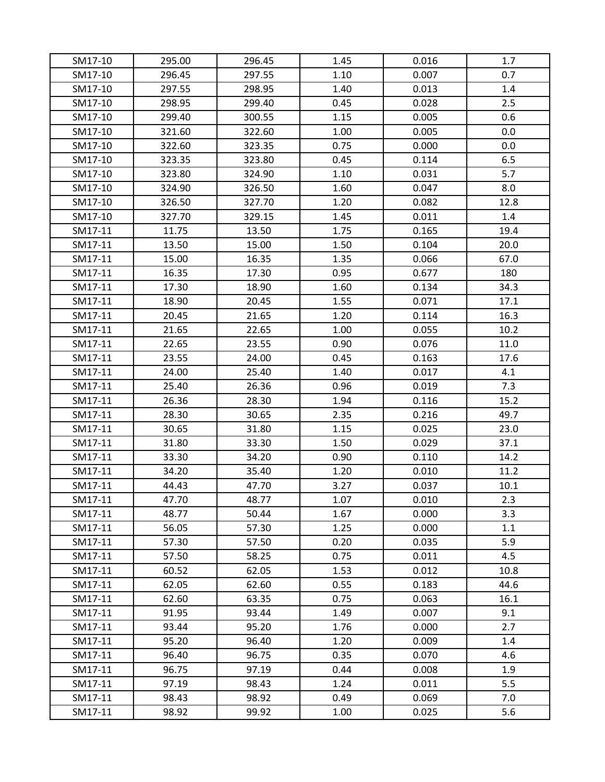| SM17-10 | 295.00 | 296.45 | 1.45 | 0.016 | 1.7  |
|---------|--------|--------|------|-------|------|
| SM17-10 | 296.45 | 297.55 | 1.10 | 0.007 | 0.7  |
| SM17-10 | 297.55 | 298.95 | 1.40 | 0.013 | 1.4  |
| SM17-10 | 298.95 | 299.40 | 0.45 | 0.028 | 2.5  |
| SM17-10 | 299.40 | 300.55 | 1.15 | 0.005 | 0.6  |
| SM17-10 | 321.60 | 322.60 | 1.00 | 0.005 | 0.0  |
| SM17-10 | 322.60 | 323.35 | 0.75 | 0.000 | 0.0  |
| SM17-10 | 323.35 | 323.80 | 0.45 | 0.114 | 6.5  |
| SM17-10 | 323.80 | 324.90 | 1.10 | 0.031 | 5.7  |
| SM17-10 | 324.90 | 326.50 | 1.60 | 0.047 | 8.0  |
| SM17-10 | 326.50 | 327.70 | 1.20 | 0.082 | 12.8 |
| SM17-10 | 327.70 | 329.15 | 1.45 | 0.011 | 1.4  |
| SM17-11 | 11.75  | 13.50  | 1.75 | 0.165 | 19.4 |
| SM17-11 | 13.50  | 15.00  | 1.50 | 0.104 | 20.0 |
| SM17-11 | 15.00  | 16.35  | 1.35 | 0.066 | 67.0 |
| SM17-11 | 16.35  | 17.30  | 0.95 | 0.677 | 180  |
| SM17-11 | 17.30  | 18.90  | 1.60 | 0.134 | 34.3 |
| SM17-11 | 18.90  | 20.45  | 1.55 | 0.071 | 17.1 |
| SM17-11 | 20.45  | 21.65  | 1.20 | 0.114 | 16.3 |
| SM17-11 | 21.65  | 22.65  | 1.00 | 0.055 | 10.2 |
| SM17-11 | 22.65  | 23.55  | 0.90 | 0.076 | 11.0 |
| SM17-11 | 23.55  | 24.00  | 0.45 | 0.163 | 17.6 |
| SM17-11 | 24.00  | 25.40  | 1.40 | 0.017 | 4.1  |
| SM17-11 | 25.40  | 26.36  | 0.96 | 0.019 | 7.3  |
| SM17-11 | 26.36  | 28.30  | 1.94 | 0.116 | 15.2 |
| SM17-11 | 28.30  | 30.65  | 2.35 | 0.216 | 49.7 |
| SM17-11 | 30.65  | 31.80  | 1.15 | 0.025 | 23.0 |
| SM17-11 | 31.80  | 33.30  | 1.50 | 0.029 | 37.1 |
| SM17-11 | 33.30  | 34.20  | 0.90 | 0.110 | 14.2 |
| SM17-11 | 34.20  | 35.40  | 1.20 | 0.010 | 11.2 |
| SM17-11 | 44.43  | 47.70  | 3.27 | 0.037 | 10.1 |
| SM17-11 | 47.70  | 48.77  | 1.07 | 0.010 | 2.3  |
| SM17-11 | 48.77  | 50.44  | 1.67 | 0.000 | 3.3  |
| SM17-11 | 56.05  | 57.30  | 1.25 | 0.000 | 1.1  |
| SM17-11 | 57.30  | 57.50  | 0.20 | 0.035 | 5.9  |
| SM17-11 | 57.50  | 58.25  | 0.75 | 0.011 | 4.5  |
| SM17-11 | 60.52  | 62.05  | 1.53 | 0.012 | 10.8 |
| SM17-11 | 62.05  | 62.60  | 0.55 | 0.183 | 44.6 |
| SM17-11 | 62.60  | 63.35  | 0.75 | 0.063 | 16.1 |
| SM17-11 | 91.95  | 93.44  | 1.49 | 0.007 | 9.1  |
| SM17-11 | 93.44  | 95.20  | 1.76 | 0.000 | 2.7  |
| SM17-11 | 95.20  | 96.40  | 1.20 | 0.009 | 1.4  |
| SM17-11 | 96.40  | 96.75  | 0.35 | 0.070 | 4.6  |
| SM17-11 | 96.75  | 97.19  | 0.44 | 0.008 | 1.9  |
| SM17-11 | 97.19  | 98.43  | 1.24 | 0.011 | 5.5  |
| SM17-11 | 98.43  | 98.92  | 0.49 | 0.069 | 7.0  |
|         |        |        |      |       |      |
| SM17-11 | 98.92  | 99.92  | 1.00 | 0.025 | 5.6  |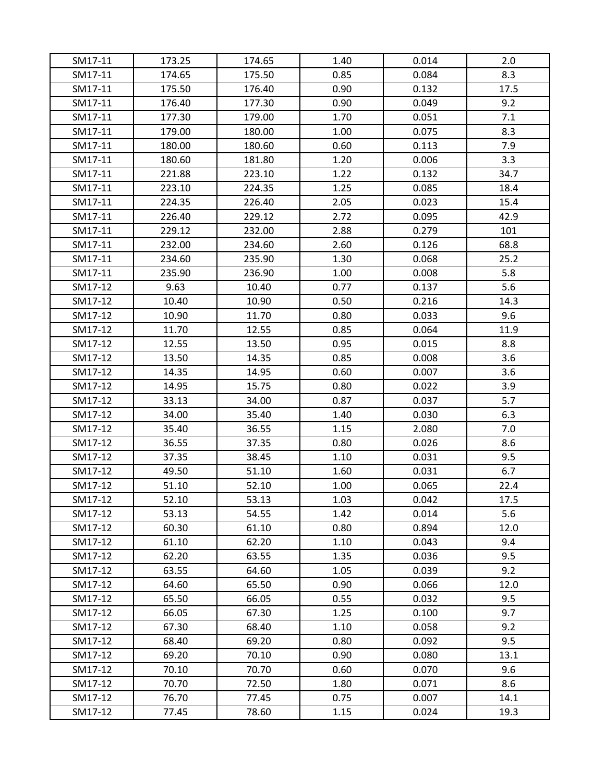| SM17-11 | 173.25<br>174.65 | 174.65<br>175.50 | 1.40<br>0.85 | 0.014<br>0.084 | 2.0<br>8.3 |
|---------|------------------|------------------|--------------|----------------|------------|
| SM17-11 | 175.50           | 176.40           | 0.90         | 0.132          | 17.5       |
| SM17-11 |                  |                  |              |                |            |
| SM17-11 | 176.40           | 177.30           | 0.90         | 0.049          | 9.2        |
| SM17-11 | 177.30           | 179.00           | 1.70         | 0.051          | 7.1        |
| SM17-11 | 179.00           | 180.00           | 1.00         | 0.075          | 8.3        |
| SM17-11 | 180.00           | 180.60           | 0.60         | 0.113          | 7.9        |
| SM17-11 | 180.60           | 181.80           | 1.20         | 0.006          | 3.3        |
| SM17-11 | 221.88           | 223.10           | 1.22         | 0.132          | 34.7       |
| SM17-11 | 223.10           | 224.35           | 1.25         | 0.085          | 18.4       |
| SM17-11 | 224.35           | 226.40           | 2.05         | 0.023          | 15.4       |
| SM17-11 | 226.40           | 229.12           | 2.72         | 0.095          | 42.9       |
| SM17-11 | 229.12           | 232.00           | 2.88         | 0.279          | 101        |
| SM17-11 | 232.00           | 234.60           | 2.60         | 0.126          | 68.8       |
| SM17-11 | 234.60           | 235.90           | 1.30         | 0.068          | 25.2       |
| SM17-11 | 235.90           | 236.90           | 1.00         | 0.008          | 5.8        |
| SM17-12 | 9.63             | 10.40            | 0.77         | 0.137          | 5.6        |
| SM17-12 | 10.40            | 10.90            | 0.50         | 0.216          | 14.3       |
| SM17-12 | 10.90            | 11.70            | 0.80         | 0.033          | 9.6        |
| SM17-12 | 11.70            | 12.55            | 0.85         | 0.064          | 11.9       |
| SM17-12 | 12.55            | 13.50            | 0.95         | 0.015          | 8.8        |
| SM17-12 | 13.50            | 14.35            | 0.85         | 0.008          | 3.6        |
| SM17-12 | 14.35            | 14.95            | 0.60         | 0.007          | 3.6        |
| SM17-12 | 14.95            | 15.75            | 0.80         | 0.022          | 3.9        |
| SM17-12 | 33.13            | 34.00            | 0.87         | 0.037          | 5.7        |
| SM17-12 | 34.00            | 35.40            | 1.40         | 0.030          | 6.3        |
| SM17-12 | 35.40            | 36.55            | 1.15         | 2.080          | 7.0        |
| SM17-12 | 36.55            | 37.35            | 0.80         | 0.026          | 8.6        |
| SM17-12 | 37.35            | 38.45            | 1.10         | 0.031          | 9.5        |
| SM17-12 | 49.50            | 51.10            | 1.60         | 0.031          | 6.7        |
| SM17-12 | 51.10            | 52.10            | 1.00         | 0.065          | 22.4       |
| SM17-12 | 52.10            | 53.13            | 1.03         | 0.042          | 17.5       |
| SM17-12 | 53.13            | 54.55            | 1.42         | 0.014          | 5.6        |
| SM17-12 | 60.30            | 61.10            | 0.80         | 0.894          | 12.0       |
| SM17-12 | 61.10            | 62.20            | 1.10         | 0.043          | 9.4        |
| SM17-12 | 62.20            | 63.55            | 1.35         | 0.036          | 9.5        |
| SM17-12 | 63.55            | 64.60            | 1.05         | 0.039          | 9.2        |
| SM17-12 | 64.60            | 65.50            | 0.90         | 0.066          | 12.0       |
| SM17-12 | 65.50            | 66.05            | 0.55         | 0.032          | 9.5        |
| SM17-12 | 66.05            | 67.30            | 1.25         | 0.100          | 9.7        |
| SM17-12 | 67.30            | 68.40            | 1.10         | 0.058          | 9.2        |
| SM17-12 | 68.40            | 69.20            | 0.80         | 0.092          | 9.5        |
| SM17-12 | 69.20            | 70.10            | 0.90         | 0.080          | 13.1       |
| SM17-12 | 70.10            | 70.70            | 0.60         | 0.070          | 9.6        |
| SM17-12 | 70.70            | 72.50            | 1.80         | 0.071          | 8.6        |
| SM17-12 | 76.70            | 77.45            | 0.75         | 0.007          | 14.1       |
| SM17-12 | 77.45            | 78.60            | 1.15         | 0.024          | 19.3       |
|         |                  |                  |              |                |            |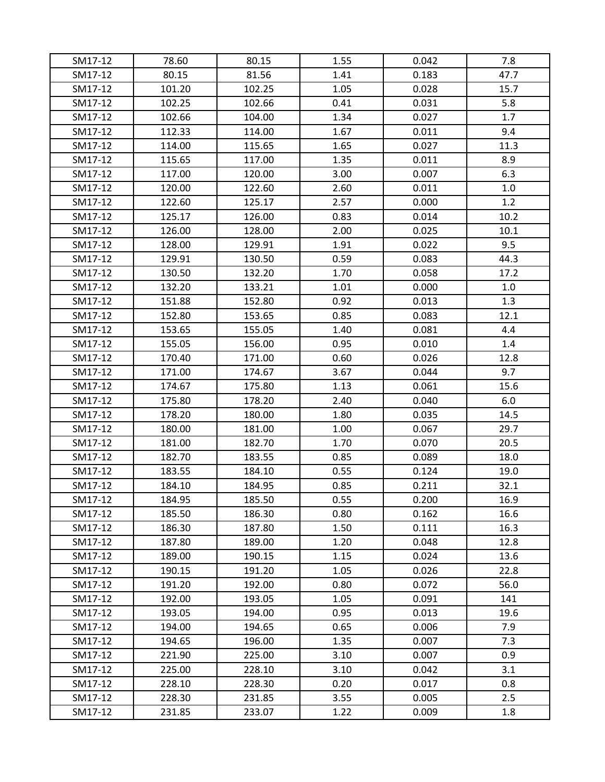| SM17-12 | 78.60  | 80.15  | 1.55 | 0.042 | 7.8  |
|---------|--------|--------|------|-------|------|
| SM17-12 | 80.15  | 81.56  | 1.41 | 0.183 | 47.7 |
| SM17-12 | 101.20 | 102.25 | 1.05 | 0.028 | 15.7 |
| SM17-12 | 102.25 | 102.66 | 0.41 | 0.031 | 5.8  |
| SM17-12 | 102.66 | 104.00 | 1.34 | 0.027 | 1.7  |
| SM17-12 | 112.33 | 114.00 | 1.67 | 0.011 | 9.4  |
| SM17-12 | 114.00 | 115.65 | 1.65 | 0.027 | 11.3 |
| SM17-12 | 115.65 | 117.00 | 1.35 | 0.011 | 8.9  |
| SM17-12 | 117.00 | 120.00 | 3.00 | 0.007 | 6.3  |
| SM17-12 | 120.00 | 122.60 | 2.60 | 0.011 | 1.0  |
| SM17-12 | 122.60 | 125.17 | 2.57 | 0.000 | 1.2  |
| SM17-12 | 125.17 | 126.00 | 0.83 | 0.014 | 10.2 |
| SM17-12 | 126.00 | 128.00 | 2.00 | 0.025 | 10.1 |
| SM17-12 | 128.00 | 129.91 | 1.91 | 0.022 | 9.5  |
| SM17-12 | 129.91 | 130.50 | 0.59 | 0.083 | 44.3 |
| SM17-12 | 130.50 | 132.20 | 1.70 | 0.058 | 17.2 |
| SM17-12 | 132.20 | 133.21 | 1.01 | 0.000 | 1.0  |
| SM17-12 | 151.88 | 152.80 | 0.92 | 0.013 | 1.3  |
| SM17-12 | 152.80 | 153.65 | 0.85 | 0.083 | 12.1 |
| SM17-12 | 153.65 | 155.05 | 1.40 | 0.081 | 4.4  |
| SM17-12 | 155.05 | 156.00 | 0.95 | 0.010 | 1.4  |
| SM17-12 | 170.40 | 171.00 | 0.60 | 0.026 | 12.8 |
| SM17-12 | 171.00 | 174.67 | 3.67 | 0.044 | 9.7  |
| SM17-12 | 174.67 | 175.80 | 1.13 | 0.061 | 15.6 |
| SM17-12 | 175.80 | 178.20 | 2.40 | 0.040 | 6.0  |
| SM17-12 | 178.20 | 180.00 | 1.80 | 0.035 | 14.5 |
| SM17-12 | 180.00 | 181.00 | 1.00 | 0.067 | 29.7 |
| SM17-12 | 181.00 | 182.70 | 1.70 | 0.070 | 20.5 |
| SM17-12 | 182.70 | 183.55 | 0.85 | 0.089 | 18.0 |
| SM17-12 | 183.55 | 184.10 | 0.55 | 0.124 | 19.0 |
| SM17-12 | 184.10 | 184.95 | 0.85 | 0.211 | 32.1 |
| SM17-12 | 184.95 | 185.50 | 0.55 | 0.200 | 16.9 |
| SM17-12 | 185.50 | 186.30 | 0.80 | 0.162 | 16.6 |
| SM17-12 | 186.30 | 187.80 | 1.50 | 0.111 | 16.3 |
| SM17-12 | 187.80 | 189.00 | 1.20 | 0.048 | 12.8 |
| SM17-12 | 189.00 | 190.15 | 1.15 | 0.024 | 13.6 |
| SM17-12 | 190.15 | 191.20 | 1.05 | 0.026 | 22.8 |
| SM17-12 | 191.20 | 192.00 | 0.80 | 0.072 | 56.0 |
| SM17-12 | 192.00 | 193.05 | 1.05 | 0.091 | 141  |
| SM17-12 | 193.05 | 194.00 | 0.95 | 0.013 | 19.6 |
| SM17-12 | 194.00 | 194.65 | 0.65 | 0.006 | 7.9  |
| SM17-12 | 194.65 | 196.00 | 1.35 | 0.007 | 7.3  |
| SM17-12 | 221.90 | 225.00 | 3.10 | 0.007 | 0.9  |
| SM17-12 | 225.00 | 228.10 | 3.10 | 0.042 | 3.1  |
| SM17-12 | 228.10 | 228.30 | 0.20 | 0.017 | 0.8  |
| SM17-12 | 228.30 | 231.85 | 3.55 | 0.005 | 2.5  |
| SM17-12 | 231.85 | 233.07 | 1.22 | 0.009 | 1.8  |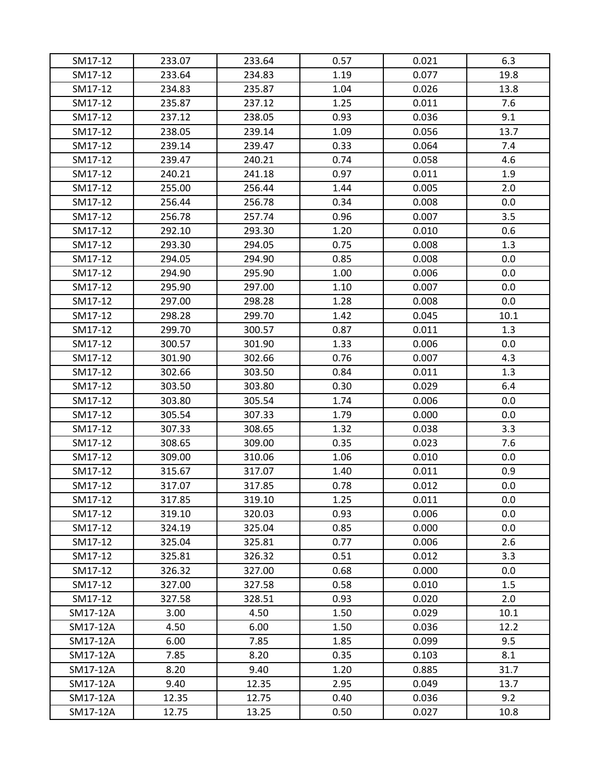| SM17-12  | 233.07 | 233.64 | 0.57 | 0.021 | 6.3  |
|----------|--------|--------|------|-------|------|
| SM17-12  | 233.64 | 234.83 | 1.19 | 0.077 | 19.8 |
| SM17-12  | 234.83 | 235.87 | 1.04 | 0.026 | 13.8 |
| SM17-12  | 235.87 | 237.12 | 1.25 | 0.011 | 7.6  |
| SM17-12  | 237.12 | 238.05 | 0.93 | 0.036 | 9.1  |
| SM17-12  | 238.05 | 239.14 | 1.09 | 0.056 | 13.7 |
| SM17-12  | 239.14 | 239.47 | 0.33 | 0.064 | 7.4  |
| SM17-12  | 239.47 | 240.21 | 0.74 | 0.058 | 4.6  |
| SM17-12  | 240.21 | 241.18 | 0.97 | 0.011 | 1.9  |
| SM17-12  | 255.00 | 256.44 | 1.44 | 0.005 | 2.0  |
| SM17-12  | 256.44 | 256.78 | 0.34 | 0.008 | 0.0  |
| SM17-12  | 256.78 | 257.74 | 0.96 | 0.007 | 3.5  |
| SM17-12  | 292.10 | 293.30 | 1.20 | 0.010 | 0.6  |
| SM17-12  | 293.30 | 294.05 | 0.75 | 0.008 | 1.3  |
| SM17-12  | 294.05 | 294.90 | 0.85 | 0.008 | 0.0  |
| SM17-12  | 294.90 | 295.90 | 1.00 | 0.006 | 0.0  |
| SM17-12  | 295.90 | 297.00 | 1.10 | 0.007 | 0.0  |
| SM17-12  | 297.00 | 298.28 | 1.28 | 0.008 | 0.0  |
| SM17-12  | 298.28 | 299.70 | 1.42 | 0.045 | 10.1 |
| SM17-12  | 299.70 | 300.57 | 0.87 | 0.011 | 1.3  |
| SM17-12  | 300.57 | 301.90 | 1.33 | 0.006 | 0.0  |
| SM17-12  | 301.90 | 302.66 | 0.76 | 0.007 | 4.3  |
| SM17-12  | 302.66 | 303.50 | 0.84 | 0.011 | 1.3  |
| SM17-12  | 303.50 | 303.80 | 0.30 | 0.029 | 6.4  |
| SM17-12  | 303.80 | 305.54 | 1.74 | 0.006 | 0.0  |
| SM17-12  | 305.54 | 307.33 | 1.79 | 0.000 | 0.0  |
| SM17-12  | 307.33 | 308.65 | 1.32 | 0.038 | 3.3  |
| SM17-12  | 308.65 | 309.00 | 0.35 | 0.023 | 7.6  |
| SM17-12  | 309.00 | 310.06 | 1.06 | 0.010 | 0.0  |
| SM17-12  | 315.67 | 317.07 | 1.40 | 0.011 | 0.9  |
| SM17-12  | 317.07 | 317.85 | 0.78 | 0.012 | 0.0  |
| SM17-12  | 317.85 | 319.10 | 1.25 | 0.011 | 0.0  |
| SM17-12  | 319.10 | 320.03 | 0.93 | 0.006 | 0.0  |
| SM17-12  | 324.19 | 325.04 | 0.85 | 0.000 | 0.0  |
| SM17-12  | 325.04 | 325.81 | 0.77 | 0.006 | 2.6  |
| SM17-12  | 325.81 | 326.32 | 0.51 | 0.012 | 3.3  |
| SM17-12  | 326.32 | 327.00 | 0.68 | 0.000 | 0.0  |
| SM17-12  | 327.00 | 327.58 | 0.58 | 0.010 | 1.5  |
| SM17-12  | 327.58 | 328.51 | 0.93 | 0.020 | 2.0  |
| SM17-12A | 3.00   | 4.50   | 1.50 | 0.029 | 10.1 |
| SM17-12A | 4.50   | 6.00   | 1.50 | 0.036 | 12.2 |
| SM17-12A | 6.00   | 7.85   | 1.85 | 0.099 | 9.5  |
| SM17-12A | 7.85   | 8.20   | 0.35 | 0.103 | 8.1  |
| SM17-12A | 8.20   | 9.40   | 1.20 | 0.885 | 31.7 |
| SM17-12A | 9.40   | 12.35  | 2.95 | 0.049 | 13.7 |
| SM17-12A | 12.35  | 12.75  | 0.40 | 0.036 | 9.2  |
| SM17-12A | 12.75  | 13.25  | 0.50 | 0.027 | 10.8 |
|          |        |        |      |       |      |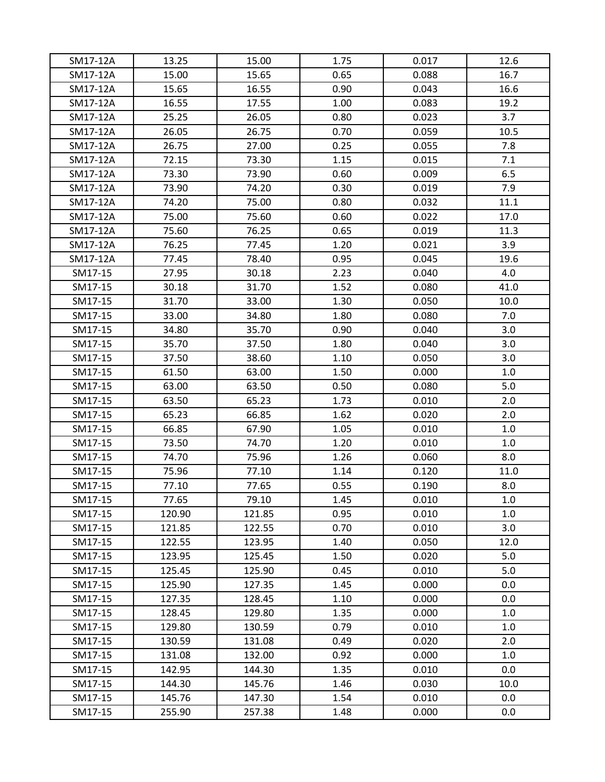| SM17-12A | 13.25  | 15.00          | 1.75         | 0.017 | 12.6       |
|----------|--------|----------------|--------------|-------|------------|
| SM17-12A | 15.00  | 15.65          | 0.65         | 0.088 | 16.7       |
| SM17-12A | 15.65  | 16.55          | 0.90         | 0.043 | 16.6       |
| SM17-12A | 16.55  | 17.55          | 1.00         | 0.083 | 19.2       |
| SM17-12A | 25.25  | 26.05          | 0.80         | 0.023 | 3.7        |
| SM17-12A | 26.05  | 26.75          | 0.70         | 0.059 | 10.5       |
| SM17-12A | 26.75  | 27.00          | 0.25         | 0.055 | 7.8        |
| SM17-12A | 72.15  | 73.30          | 1.15         | 0.015 | 7.1        |
|          |        |                |              |       |            |
| SM17-12A | 73.30  | 73.90<br>74.20 | 0.60<br>0.30 | 0.009 | 6.5<br>7.9 |
| SM17-12A | 73.90  |                |              | 0.019 |            |
| SM17-12A | 74.20  | 75.00          | 0.80         | 0.032 | 11.1       |
| SM17-12A | 75.00  | 75.60          | 0.60         | 0.022 | 17.0       |
| SM17-12A | 75.60  | 76.25          | 0.65         | 0.019 | 11.3       |
| SM17-12A | 76.25  | 77.45          | 1.20         | 0.021 | 3.9        |
| SM17-12A | 77.45  | 78.40          | 0.95         | 0.045 | 19.6       |
| SM17-15  | 27.95  | 30.18          | 2.23         | 0.040 | 4.0        |
| SM17-15  | 30.18  | 31.70          | 1.52         | 0.080 | 41.0       |
| SM17-15  | 31.70  | 33.00          | 1.30         | 0.050 | 10.0       |
| SM17-15  | 33.00  | 34.80          | 1.80         | 0.080 | 7.0        |
| SM17-15  | 34.80  | 35.70          | 0.90         | 0.040 | 3.0        |
| SM17-15  | 35.70  | 37.50          | 1.80         | 0.040 | 3.0        |
| SM17-15  | 37.50  | 38.60          | 1.10         | 0.050 | 3.0        |
| SM17-15  | 61.50  | 63.00          | 1.50         | 0.000 | 1.0        |
| SM17-15  | 63.00  | 63.50          | 0.50         | 0.080 | 5.0        |
| SM17-15  | 63.50  | 65.23          | 1.73         | 0.010 | 2.0        |
| SM17-15  | 65.23  | 66.85          | 1.62         | 0.020 | 2.0        |
| SM17-15  | 66.85  | 67.90          | 1.05         | 0.010 | 1.0        |
| SM17-15  | 73.50  | 74.70          | 1.20         | 0.010 | 1.0        |
| SM17-15  | 74.70  | 75.96          | 1.26         | 0.060 | 8.0        |
| SM17-15  | 75.96  | 77.10          | 1.14         | 0.120 | 11.0       |
| SM17-15  | 77.10  | 77.65          | 0.55         | 0.190 | 8.0        |
| SM17-15  | 77.65  | 79.10          | 1.45         | 0.010 | 1.0        |
| SM17-15  | 120.90 | 121.85         | 0.95         | 0.010 | 1.0        |
| SM17-15  | 121.85 | 122.55         | 0.70         | 0.010 | 3.0        |
| SM17-15  | 122.55 | 123.95         | 1.40         | 0.050 | 12.0       |
| SM17-15  | 123.95 | 125.45         | 1.50         | 0.020 | 5.0        |
| SM17-15  | 125.45 | 125.90         | 0.45         | 0.010 | 5.0        |
| SM17-15  | 125.90 | 127.35         | 1.45         | 0.000 | 0.0        |
| SM17-15  | 127.35 | 128.45         | 1.10         | 0.000 | 0.0        |
| SM17-15  | 128.45 | 129.80         | 1.35         | 0.000 | 1.0        |
| SM17-15  | 129.80 | 130.59         | 0.79         | 0.010 | 1.0        |
| SM17-15  | 130.59 | 131.08         | 0.49         | 0.020 | 2.0        |
| SM17-15  | 131.08 | 132.00         | 0.92         | 0.000 | 1.0        |
| SM17-15  | 142.95 | 144.30         | 1.35         | 0.010 | 0.0        |
| SM17-15  | 144.30 | 145.76         | 1.46         | 0.030 | 10.0       |
| SM17-15  | 145.76 | 147.30         | 1.54         | 0.010 | 0.0        |
| SM17-15  | 255.90 | 257.38         | 1.48         | 0.000 | 0.0        |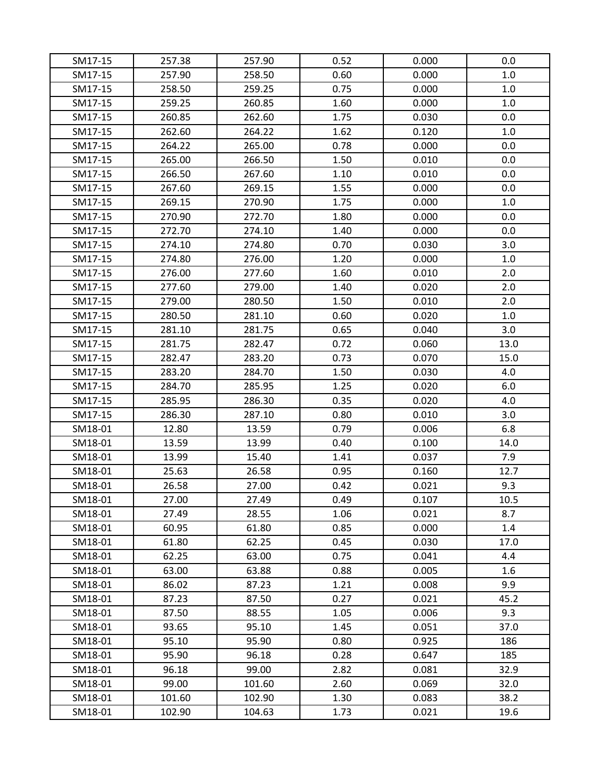| SM17-15 | 257.38 | 257.90 | 0.52 | 0.000 | 0.0  |
|---------|--------|--------|------|-------|------|
| SM17-15 | 257.90 | 258.50 | 0.60 | 0.000 | 1.0  |
| SM17-15 | 258.50 | 259.25 | 0.75 | 0.000 | 1.0  |
| SM17-15 | 259.25 | 260.85 | 1.60 | 0.000 | 1.0  |
| SM17-15 | 260.85 | 262.60 | 1.75 | 0.030 | 0.0  |
| SM17-15 | 262.60 | 264.22 | 1.62 | 0.120 | 1.0  |
| SM17-15 | 264.22 | 265.00 | 0.78 | 0.000 | 0.0  |
| SM17-15 | 265.00 | 266.50 | 1.50 | 0.010 | 0.0  |
| SM17-15 | 266.50 | 267.60 | 1.10 | 0.010 | 0.0  |
| SM17-15 | 267.60 | 269.15 | 1.55 | 0.000 | 0.0  |
| SM17-15 | 269.15 | 270.90 | 1.75 | 0.000 | 1.0  |
| SM17-15 | 270.90 | 272.70 | 1.80 | 0.000 | 0.0  |
| SM17-15 | 272.70 | 274.10 | 1.40 | 0.000 | 0.0  |
| SM17-15 | 274.10 | 274.80 | 0.70 | 0.030 | 3.0  |
| SM17-15 | 274.80 | 276.00 | 1.20 | 0.000 | 1.0  |
| SM17-15 | 276.00 | 277.60 | 1.60 | 0.010 | 2.0  |
| SM17-15 | 277.60 | 279.00 | 1.40 | 0.020 | 2.0  |
| SM17-15 | 279.00 | 280.50 | 1.50 | 0.010 | 2.0  |
| SM17-15 | 280.50 | 281.10 | 0.60 | 0.020 | 1.0  |
| SM17-15 | 281.10 | 281.75 | 0.65 | 0.040 | 3.0  |
| SM17-15 | 281.75 | 282.47 | 0.72 | 0.060 | 13.0 |
| SM17-15 | 282.47 | 283.20 | 0.73 | 0.070 | 15.0 |
| SM17-15 | 283.20 | 284.70 | 1.50 | 0.030 | 4.0  |
| SM17-15 | 284.70 | 285.95 | 1.25 | 0.020 | 6.0  |
| SM17-15 | 285.95 | 286.30 | 0.35 | 0.020 | 4.0  |
| SM17-15 | 286.30 | 287.10 | 0.80 | 0.010 | 3.0  |
| SM18-01 | 12.80  | 13.59  | 0.79 | 0.006 | 6.8  |
| SM18-01 | 13.59  | 13.99  | 0.40 | 0.100 | 14.0 |
| SM18-01 | 13.99  | 15.40  | 1.41 | 0.037 | 7.9  |
| SM18-01 | 25.63  | 26.58  | 0.95 | 0.160 | 12.7 |
| SM18-01 | 26.58  | 27.00  | 0.42 | 0.021 | 9.3  |
| SM18-01 | 27.00  | 27.49  | 0.49 | 0.107 | 10.5 |
| SM18-01 | 27.49  | 28.55  | 1.06 | 0.021 | 8.7  |
| SM18-01 | 60.95  | 61.80  | 0.85 | 0.000 | 1.4  |
| SM18-01 | 61.80  | 62.25  | 0.45 | 0.030 | 17.0 |
| SM18-01 | 62.25  | 63.00  | 0.75 | 0.041 | 4.4  |
| SM18-01 | 63.00  | 63.88  | 0.88 | 0.005 | 1.6  |
| SM18-01 | 86.02  | 87.23  | 1.21 | 0.008 | 9.9  |
| SM18-01 | 87.23  | 87.50  | 0.27 | 0.021 | 45.2 |
| SM18-01 | 87.50  | 88.55  | 1.05 | 0.006 | 9.3  |
| SM18-01 | 93.65  | 95.10  | 1.45 | 0.051 | 37.0 |
| SM18-01 | 95.10  | 95.90  | 0.80 | 0.925 | 186  |
| SM18-01 | 95.90  | 96.18  | 0.28 | 0.647 | 185  |
| SM18-01 | 96.18  | 99.00  | 2.82 | 0.081 | 32.9 |
| SM18-01 | 99.00  | 101.60 | 2.60 | 0.069 | 32.0 |
| SM18-01 | 101.60 | 102.90 | 1.30 | 0.083 | 38.2 |
| SM18-01 | 102.90 | 104.63 | 1.73 | 0.021 | 19.6 |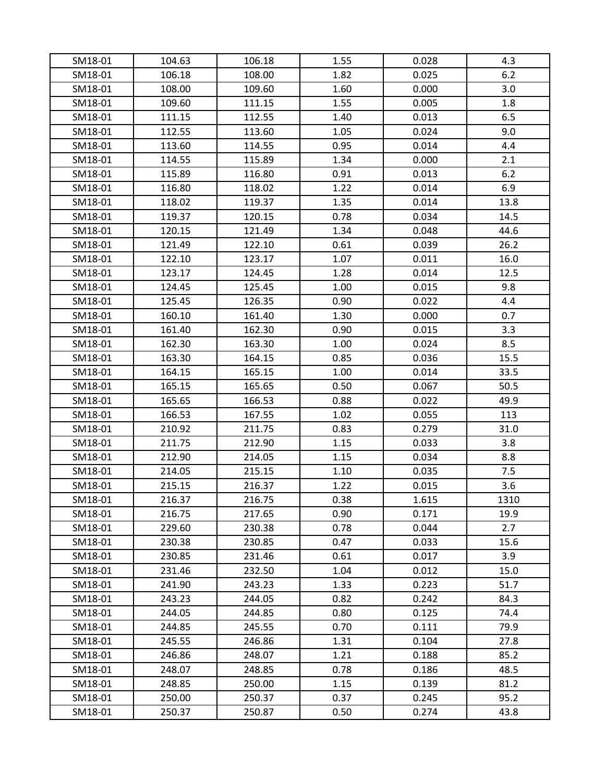| SM18-01            | 104.63           | 106.18           | 1.55         | 0.028          | 4.3          |
|--------------------|------------------|------------------|--------------|----------------|--------------|
| SM18-01            | 106.18           | 108.00           | 1.82         | 0.025          | 6.2          |
| SM18-01            | 108.00           | 109.60           | 1.60         | 0.000          | 3.0          |
| SM18-01            | 109.60           | 111.15           | 1.55         | 0.005          | 1.8          |
| SM18-01            | 111.15           | 112.55           | 1.40         | 0.013          | 6.5          |
| SM18-01            | 112.55           | 113.60           | 1.05         | 0.024          | 9.0          |
| SM18-01            | 113.60           | 114.55           | 0.95         | 0.014          | 4.4          |
| SM18-01            | 114.55           | 115.89           | 1.34         | 0.000          | 2.1          |
| SM18-01            | 115.89           | 116.80           | 0.91         | 0.013          | 6.2          |
| SM18-01            | 116.80           | 118.02           | 1.22         | 0.014          | 6.9          |
| SM18-01            | 118.02           | 119.37           | 1.35         | 0.014          | 13.8         |
| SM18-01            | 119.37           | 120.15           | 0.78         | 0.034          | 14.5         |
| SM18-01            | 120.15           | 121.49           | 1.34         | 0.048          | 44.6         |
| SM18-01            | 121.49           | 122.10           | 0.61         | 0.039          | 26.2         |
| SM18-01            | 122.10           | 123.17           | 1.07         | 0.011          | 16.0         |
| SM18-01            | 123.17           | 124.45           | 1.28         | 0.014          | 12.5         |
| SM18-01            | 124.45           | 125.45           | 1.00         | 0.015          | 9.8          |
| SM18-01            | 125.45           | 126.35           | 0.90         | 0.022          | 4.4          |
| SM18-01            | 160.10           | 161.40           | 1.30         | 0.000          | 0.7          |
| SM18-01            | 161.40           | 162.30           | 0.90         | 0.015          | 3.3          |
| SM18-01            | 162.30           | 163.30           | 1.00         | 0.024          | 8.5          |
| SM18-01            | 163.30           | 164.15           | 0.85         | 0.036          | 15.5         |
| SM18-01            | 164.15           | 165.15           | 1.00         | 0.014          | 33.5         |
| SM18-01            | 165.15           | 165.65           | 0.50         | 0.067          | 50.5         |
| SM18-01            | 165.65           | 166.53           | 0.88         | 0.022          | 49.9         |
| SM18-01            | 166.53           | 167.55           | 1.02         | 0.055          | 113          |
| SM18-01            | 210.92           | 211.75           | 0.83         | 0.279          | 31.0         |
| SM18-01            | 211.75           | 212.90           | 1.15         | 0.033          | 3.8          |
| SM18-01            | 212.90           | 214.05           | 1.15         | 0.034          | 8.8          |
| SM18-01            | 214.05           | 215.15           | 1.10         | 0.035          | 7.5          |
| SM18-01            | 215.15           | 216.37           | 1.22         | 0.015          | 3.6          |
| SM18-01            | 216.37           | 216.75           | 0.38         | 1.615          | 1310         |
| SM18-01            | 216.75           | 217.65           | 0.90         | 0.171          | 19.9         |
| SM18-01            | 229.60           | 230.38           | 0.78         | 0.044          | 2.7          |
| SM18-01            | 230.38           | 230.85           | 0.47         | 0.033          | 15.6         |
| SM18-01            | 230.85           | 231.46           | 0.61         | 0.017          | 3.9          |
| SM18-01<br>SM18-01 | 231.46<br>241.90 | 232.50<br>243.23 | 1.04<br>1.33 | 0.012<br>0.223 | 15.0<br>51.7 |
| SM18-01            | 243.23           |                  | 0.82         | 0.242          | 84.3         |
| SM18-01            |                  | 244.05           | 0.80         | 0.125          | 74.4         |
|                    | 244.05           | 244.85           |              |                |              |
| SM18-01<br>SM18-01 | 244.85<br>245.55 | 245.55<br>246.86 | 0.70<br>1.31 | 0.111<br>0.104 | 79.9<br>27.8 |
|                    | 246.86           |                  | 1.21         | 0.188          | 85.2         |
| SM18-01            |                  | 248.07           | 0.78         | 0.186          |              |
| SM18-01            | 248.07           | 248.85           |              |                | 48.5         |
| SM18-01            | 248.85           | 250.00           | 1.15<br>0.37 | 0.139<br>0.245 | 81.2<br>95.2 |
| SM18-01            | 250.00           | 250.37           |              |                |              |
| SM18-01            | 250.37           | 250.87           | 0.50         | 0.274          | 43.8         |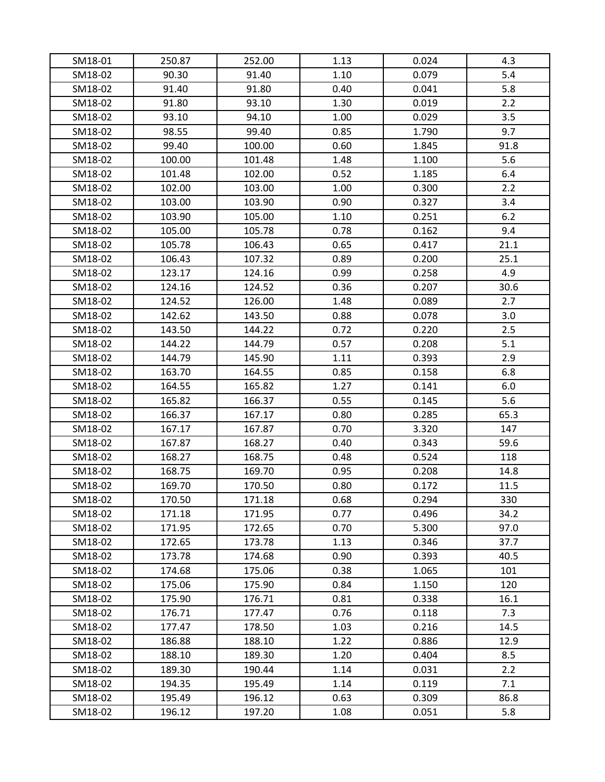| SM18-01 | 250.87 | 252.00 | 1.13 | 0.024 | 4.3  |
|---------|--------|--------|------|-------|------|
| SM18-02 | 90.30  | 91.40  | 1.10 | 0.079 | 5.4  |
| SM18-02 | 91.40  | 91.80  | 0.40 | 0.041 | 5.8  |
| SM18-02 | 91.80  | 93.10  | 1.30 | 0.019 | 2.2  |
| SM18-02 | 93.10  | 94.10  | 1.00 | 0.029 | 3.5  |
| SM18-02 | 98.55  | 99.40  | 0.85 | 1.790 | 9.7  |
| SM18-02 | 99.40  | 100.00 | 0.60 | 1.845 | 91.8 |
| SM18-02 | 100.00 | 101.48 | 1.48 | 1.100 | 5.6  |
| SM18-02 | 101.48 | 102.00 | 0.52 | 1.185 | 6.4  |
| SM18-02 | 102.00 | 103.00 | 1.00 | 0.300 | 2.2  |
| SM18-02 | 103.00 | 103.90 | 0.90 | 0.327 | 3.4  |
| SM18-02 | 103.90 | 105.00 | 1.10 | 0.251 | 6.2  |
| SM18-02 | 105.00 | 105.78 | 0.78 | 0.162 | 9.4  |
| SM18-02 | 105.78 | 106.43 | 0.65 | 0.417 | 21.1 |
| SM18-02 | 106.43 | 107.32 | 0.89 | 0.200 | 25.1 |
| SM18-02 | 123.17 | 124.16 | 0.99 | 0.258 | 4.9  |
| SM18-02 | 124.16 | 124.52 | 0.36 | 0.207 | 30.6 |
| SM18-02 | 124.52 | 126.00 | 1.48 | 0.089 | 2.7  |
| SM18-02 | 142.62 | 143.50 | 0.88 | 0.078 | 3.0  |
| SM18-02 | 143.50 | 144.22 | 0.72 | 0.220 | 2.5  |
| SM18-02 | 144.22 | 144.79 | 0.57 | 0.208 | 5.1  |
| SM18-02 | 144.79 | 145.90 | 1.11 | 0.393 | 2.9  |
| SM18-02 | 163.70 | 164.55 | 0.85 | 0.158 | 6.8  |
| SM18-02 | 164.55 | 165.82 | 1.27 | 0.141 | 6.0  |
| SM18-02 | 165.82 | 166.37 | 0.55 | 0.145 | 5.6  |
| SM18-02 | 166.37 | 167.17 | 0.80 | 0.285 | 65.3 |
| SM18-02 | 167.17 | 167.87 | 0.70 | 3.320 | 147  |
| SM18-02 | 167.87 | 168.27 | 0.40 | 0.343 | 59.6 |
| SM18-02 | 168.27 | 168.75 | 0.48 | 0.524 | 118  |
| SM18-02 | 168.75 | 169.70 | 0.95 | 0.208 | 14.8 |
| SM18-02 | 169.70 | 170.50 | 0.80 | 0.172 | 11.5 |
| SM18-02 | 170.50 | 171.18 | 0.68 | 0.294 | 330  |
| SM18-02 | 171.18 | 171.95 | 0.77 | 0.496 | 34.2 |
| SM18-02 | 171.95 | 172.65 | 0.70 | 5.300 | 97.0 |
| SM18-02 | 172.65 | 173.78 | 1.13 | 0.346 | 37.7 |
| SM18-02 | 173.78 | 174.68 | 0.90 | 0.393 | 40.5 |
| SM18-02 | 174.68 | 175.06 | 0.38 | 1.065 | 101  |
| SM18-02 | 175.06 | 175.90 | 0.84 | 1.150 | 120  |
| SM18-02 | 175.90 | 176.71 | 0.81 | 0.338 | 16.1 |
| SM18-02 | 176.71 | 177.47 | 0.76 | 0.118 | 7.3  |
| SM18-02 | 177.47 | 178.50 | 1.03 | 0.216 | 14.5 |
| SM18-02 | 186.88 | 188.10 | 1.22 | 0.886 | 12.9 |
| SM18-02 | 188.10 | 189.30 | 1.20 | 0.404 | 8.5  |
| SM18-02 | 189.30 | 190.44 | 1.14 | 0.031 | 2.2  |
| SM18-02 | 194.35 | 195.49 | 1.14 | 0.119 | 7.1  |
| SM18-02 | 195.49 | 196.12 | 0.63 | 0.309 | 86.8 |
| SM18-02 | 196.12 | 197.20 | 1.08 | 0.051 | 5.8  |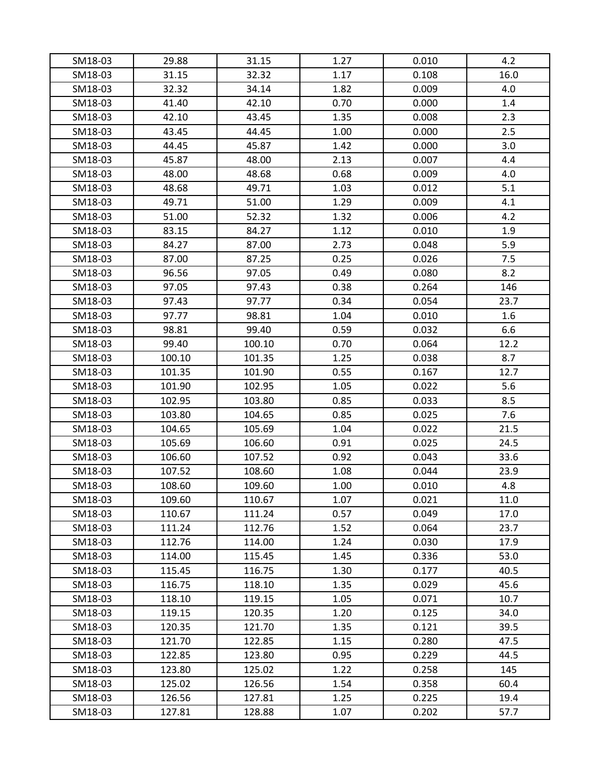| SM18-03 | 29.88  | 31.15  | 1.27 | 0.010 | 4.2  |
|---------|--------|--------|------|-------|------|
| SM18-03 | 31.15  | 32.32  | 1.17 | 0.108 | 16.0 |
| SM18-03 | 32.32  | 34.14  | 1.82 | 0.009 | 4.0  |
| SM18-03 | 41.40  | 42.10  | 0.70 | 0.000 | 1.4  |
| SM18-03 | 42.10  | 43.45  | 1.35 | 0.008 | 2.3  |
| SM18-03 | 43.45  | 44.45  | 1.00 | 0.000 | 2.5  |
| SM18-03 | 44.45  | 45.87  | 1.42 | 0.000 | 3.0  |
| SM18-03 | 45.87  | 48.00  | 2.13 | 0.007 | 4.4  |
| SM18-03 | 48.00  | 48.68  | 0.68 | 0.009 | 4.0  |
| SM18-03 | 48.68  | 49.71  | 1.03 | 0.012 | 5.1  |
| SM18-03 | 49.71  | 51.00  | 1.29 | 0.009 | 4.1  |
| SM18-03 | 51.00  | 52.32  | 1.32 | 0.006 | 4.2  |
| SM18-03 | 83.15  | 84.27  | 1.12 | 0.010 | 1.9  |
| SM18-03 | 84.27  | 87.00  | 2.73 | 0.048 | 5.9  |
| SM18-03 | 87.00  | 87.25  | 0.25 | 0.026 | 7.5  |
| SM18-03 | 96.56  | 97.05  | 0.49 | 0.080 | 8.2  |
| SM18-03 | 97.05  | 97.43  | 0.38 | 0.264 | 146  |
| SM18-03 | 97.43  | 97.77  | 0.34 | 0.054 | 23.7 |
| SM18-03 | 97.77  | 98.81  | 1.04 | 0.010 | 1.6  |
| SM18-03 | 98.81  | 99.40  | 0.59 | 0.032 | 6.6  |
| SM18-03 | 99.40  | 100.10 | 0.70 | 0.064 | 12.2 |
| SM18-03 | 100.10 | 101.35 | 1.25 | 0.038 | 8.7  |
| SM18-03 | 101.35 | 101.90 | 0.55 | 0.167 | 12.7 |
| SM18-03 | 101.90 | 102.95 | 1.05 | 0.022 | 5.6  |
| SM18-03 | 102.95 | 103.80 | 0.85 | 0.033 | 8.5  |
| SM18-03 | 103.80 | 104.65 | 0.85 | 0.025 | 7.6  |
| SM18-03 | 104.65 | 105.69 | 1.04 | 0.022 | 21.5 |
| SM18-03 | 105.69 | 106.60 | 0.91 | 0.025 | 24.5 |
| SM18-03 | 106.60 | 107.52 | 0.92 | 0.043 | 33.6 |
| SM18-03 | 107.52 | 108.60 | 1.08 | 0.044 | 23.9 |
| SM18-03 | 108.60 | 109.60 | 1.00 | 0.010 | 4.8  |
| SM18-03 | 109.60 | 110.67 | 1.07 | 0.021 | 11.0 |
| SM18-03 | 110.67 | 111.24 | 0.57 | 0.049 | 17.0 |
| SM18-03 | 111.24 | 112.76 | 1.52 | 0.064 | 23.7 |
| SM18-03 | 112.76 | 114.00 | 1.24 | 0.030 | 17.9 |
| SM18-03 | 114.00 | 115.45 | 1.45 | 0.336 | 53.0 |
| SM18-03 | 115.45 | 116.75 | 1.30 | 0.177 | 40.5 |
| SM18-03 | 116.75 | 118.10 | 1.35 | 0.029 | 45.6 |
| SM18-03 | 118.10 | 119.15 | 1.05 | 0.071 | 10.7 |
| SM18-03 | 119.15 | 120.35 | 1.20 | 0.125 | 34.0 |
| SM18-03 | 120.35 | 121.70 | 1.35 | 0.121 | 39.5 |
| SM18-03 | 121.70 | 122.85 | 1.15 | 0.280 | 47.5 |
| SM18-03 | 122.85 | 123.80 | 0.95 | 0.229 | 44.5 |
| SM18-03 | 123.80 | 125.02 | 1.22 | 0.258 | 145  |
| SM18-03 | 125.02 | 126.56 | 1.54 | 0.358 | 60.4 |
| SM18-03 | 126.56 | 127.81 | 1.25 | 0.225 | 19.4 |
| SM18-03 | 127.81 | 128.88 | 1.07 | 0.202 | 57.7 |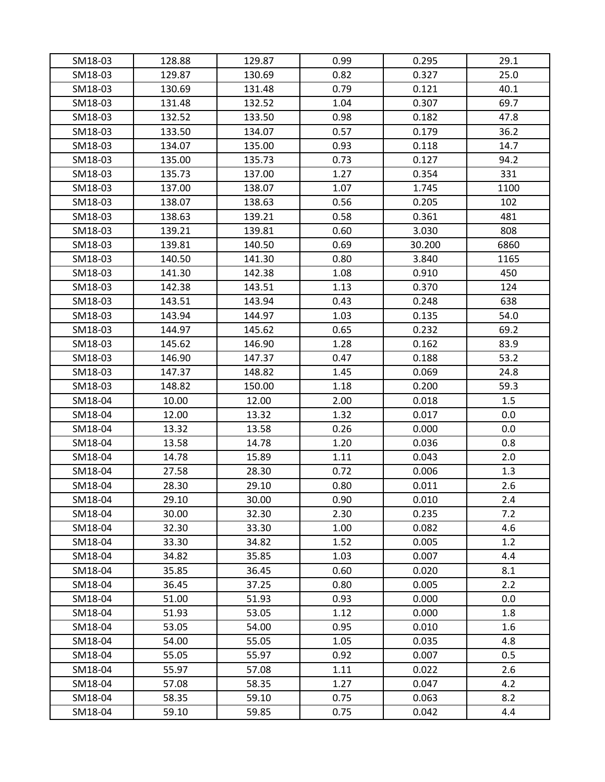| SM18-03 | 128.88 | 129.87 | 0.99 | 0.295  | 29.1    |
|---------|--------|--------|------|--------|---------|
| SM18-03 | 129.87 | 130.69 | 0.82 | 0.327  | 25.0    |
| SM18-03 | 130.69 | 131.48 | 0.79 | 0.121  | 40.1    |
| SM18-03 | 131.48 | 132.52 | 1.04 | 0.307  | 69.7    |
| SM18-03 | 132.52 | 133.50 | 0.98 | 0.182  | 47.8    |
| SM18-03 | 133.50 | 134.07 | 0.57 | 0.179  | 36.2    |
| SM18-03 | 134.07 | 135.00 | 0.93 | 0.118  | 14.7    |
| SM18-03 | 135.00 | 135.73 | 0.73 | 0.127  | 94.2    |
| SM18-03 | 135.73 | 137.00 | 1.27 | 0.354  | 331     |
| SM18-03 | 137.00 | 138.07 | 1.07 | 1.745  | 1100    |
| SM18-03 | 138.07 | 138.63 | 0.56 | 0.205  | 102     |
| SM18-03 | 138.63 | 139.21 | 0.58 | 0.361  | 481     |
| SM18-03 | 139.21 | 139.81 | 0.60 | 3.030  | 808     |
| SM18-03 | 139.81 | 140.50 | 0.69 | 30.200 | 6860    |
| SM18-03 | 140.50 | 141.30 | 0.80 | 3.840  | 1165    |
| SM18-03 | 141.30 | 142.38 | 1.08 | 0.910  | 450     |
| SM18-03 | 142.38 | 143.51 | 1.13 | 0.370  | 124     |
| SM18-03 | 143.51 | 143.94 | 0.43 | 0.248  | 638     |
| SM18-03 | 143.94 | 144.97 | 1.03 | 0.135  | 54.0    |
| SM18-03 | 144.97 | 145.62 | 0.65 | 0.232  | 69.2    |
| SM18-03 | 145.62 | 146.90 | 1.28 | 0.162  | 83.9    |
| SM18-03 | 146.90 | 147.37 | 0.47 | 0.188  | 53.2    |
| SM18-03 | 147.37 | 148.82 | 1.45 | 0.069  | 24.8    |
| SM18-03 | 148.82 | 150.00 | 1.18 | 0.200  | 59.3    |
| SM18-04 | 10.00  | 12.00  | 2.00 | 0.018  | 1.5     |
| SM18-04 | 12.00  | 13.32  | 1.32 | 0.017  | 0.0     |
| SM18-04 | 13.32  | 13.58  | 0.26 | 0.000  | 0.0     |
| SM18-04 | 13.58  | 14.78  | 1.20 | 0.036  | 0.8     |
| SM18-04 | 14.78  | 15.89  | 1.11 | 0.043  | 2.0     |
| SM18-04 | 27.58  | 28.30  | 0.72 | 0.006  | 1.3     |
| SM18-04 | 28.30  | 29.10  | 0.80 | 0.011  | 2.6     |
| SM18-04 | 29.10  | 30.00  | 0.90 | 0.010  | 2.4     |
| SM18-04 | 30.00  | 32.30  | 2.30 | 0.235  | 7.2     |
| SM18-04 | 32.30  | 33.30  | 1.00 | 0.082  | 4.6     |
| SM18-04 | 33.30  | 34.82  | 1.52 | 0.005  | 1.2     |
| SM18-04 | 34.82  | 35.85  | 1.03 | 0.007  | 4.4     |
| SM18-04 | 35.85  | 36.45  | 0.60 | 0.020  | 8.1     |
| SM18-04 | 36.45  | 37.25  | 0.80 | 0.005  | 2.2     |
| SM18-04 | 51.00  | 51.93  | 0.93 | 0.000  | $0.0\,$ |
| SM18-04 | 51.93  | 53.05  | 1.12 | 0.000  | 1.8     |
| SM18-04 | 53.05  | 54.00  | 0.95 | 0.010  | 1.6     |
| SM18-04 | 54.00  | 55.05  | 1.05 | 0.035  | 4.8     |
| SM18-04 | 55.05  | 55.97  | 0.92 | 0.007  | 0.5     |
| SM18-04 | 55.97  | 57.08  | 1.11 | 0.022  | 2.6     |
| SM18-04 | 57.08  | 58.35  | 1.27 | 0.047  | 4.2     |
| SM18-04 | 58.35  | 59.10  | 0.75 | 0.063  | 8.2     |
| SM18-04 | 59.10  | 59.85  | 0.75 | 0.042  | 4.4     |
|         |        |        |      |        |         |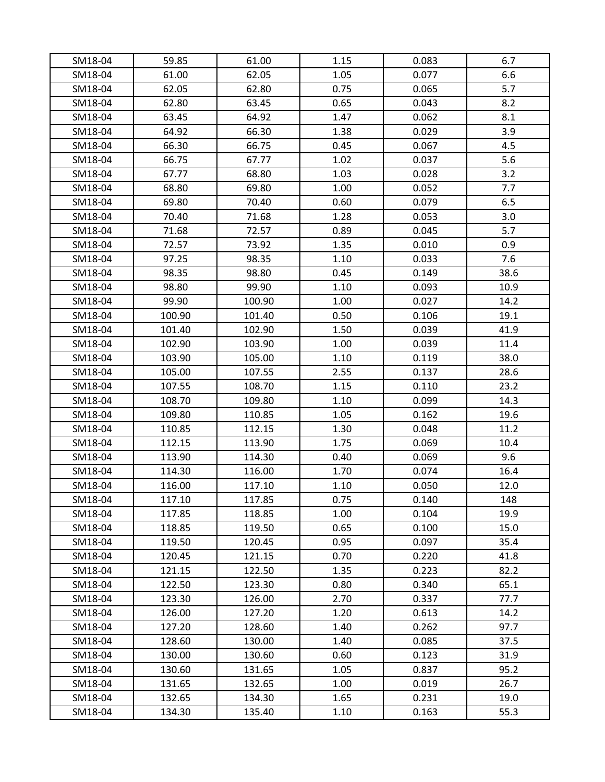| SM18-04            | 59.85  | 61.00  |              | 0.083 | 6.7  |
|--------------------|--------|--------|--------------|-------|------|
| SM18-04            | 61.00  | 62.05  | 1.15<br>1.05 | 0.077 | 6.6  |
| SM18-04            | 62.05  | 62.80  | 0.75         | 0.065 | 5.7  |
| SM18-04            | 62.80  | 63.45  | 0.65         | 0.043 | 8.2  |
| SM18-04            | 63.45  | 64.92  | 1.47         | 0.062 | 8.1  |
|                    | 64.92  | 66.30  | 1.38         | 0.029 | 3.9  |
| SM18-04<br>SM18-04 | 66.30  | 66.75  | 0.45         | 0.067 | 4.5  |
|                    |        |        |              |       | 5.6  |
| SM18-04            | 66.75  | 67.77  | 1.02         | 0.037 |      |
| SM18-04            | 67.77  | 68.80  | 1.03         | 0.028 | 3.2  |
| SM18-04            | 68.80  | 69.80  | 1.00         | 0.052 | 7.7  |
| SM18-04            | 69.80  | 70.40  | 0.60         | 0.079 | 6.5  |
| SM18-04            | 70.40  | 71.68  | 1.28         | 0.053 | 3.0  |
| SM18-04            | 71.68  | 72.57  | 0.89         | 0.045 | 5.7  |
| SM18-04            | 72.57  | 73.92  | 1.35         | 0.010 | 0.9  |
| SM18-04            | 97.25  | 98.35  | 1.10         | 0.033 | 7.6  |
| SM18-04            | 98.35  | 98.80  | 0.45         | 0.149 | 38.6 |
| SM18-04            | 98.80  | 99.90  | 1.10         | 0.093 | 10.9 |
| SM18-04            | 99.90  | 100.90 | 1.00         | 0.027 | 14.2 |
| SM18-04            | 100.90 | 101.40 | 0.50         | 0.106 | 19.1 |
| SM18-04            | 101.40 | 102.90 | 1.50         | 0.039 | 41.9 |
| SM18-04            | 102.90 | 103.90 | 1.00         | 0.039 | 11.4 |
| SM18-04            | 103.90 | 105.00 | 1.10         | 0.119 | 38.0 |
| SM18-04            | 105.00 | 107.55 | 2.55         | 0.137 | 28.6 |
| SM18-04            | 107.55 | 108.70 | 1.15         | 0.110 | 23.2 |
| SM18-04            | 108.70 | 109.80 | 1.10         | 0.099 | 14.3 |
| SM18-04            | 109.80 | 110.85 | 1.05         | 0.162 | 19.6 |
| SM18-04            | 110.85 | 112.15 | 1.30         | 0.048 | 11.2 |
| SM18-04            | 112.15 | 113.90 | 1.75         | 0.069 | 10.4 |
| SM18-04            | 113.90 | 114.30 | 0.40         | 0.069 | 9.6  |
| SM18-04            | 114.30 | 116.00 | 1.70         | 0.074 | 16.4 |
| SM18-04            | 116.00 | 117.10 | 1.10         | 0.050 | 12.0 |
| SM18-04            | 117.10 | 117.85 | 0.75         | 0.140 | 148  |
| SM18-04            | 117.85 | 118.85 | 1.00         | 0.104 | 19.9 |
| SM18-04            | 118.85 | 119.50 | 0.65         | 0.100 | 15.0 |
| SM18-04            | 119.50 | 120.45 | 0.95         | 0.097 | 35.4 |
| SM18-04            | 120.45 | 121.15 | 0.70         | 0.220 | 41.8 |
| SM18-04            | 121.15 | 122.50 | 1.35         | 0.223 | 82.2 |
| SM18-04            | 122.50 | 123.30 | 0.80         | 0.340 | 65.1 |
| SM18-04            | 123.30 | 126.00 | 2.70         | 0.337 | 77.7 |
| SM18-04            | 126.00 | 127.20 | 1.20         | 0.613 | 14.2 |
| SM18-04            | 127.20 | 128.60 | 1.40         | 0.262 | 97.7 |
| SM18-04            | 128.60 | 130.00 | 1.40         | 0.085 | 37.5 |
| SM18-04            | 130.00 | 130.60 | 0.60         | 0.123 | 31.9 |
| SM18-04            | 130.60 | 131.65 | 1.05         | 0.837 | 95.2 |
| SM18-04            | 131.65 | 132.65 | 1.00         | 0.019 | 26.7 |
| SM18-04            | 132.65 | 134.30 | 1.65         | 0.231 | 19.0 |
| SM18-04            | 134.30 | 135.40 | 1.10         | 0.163 | 55.3 |
|                    |        |        |              |       |      |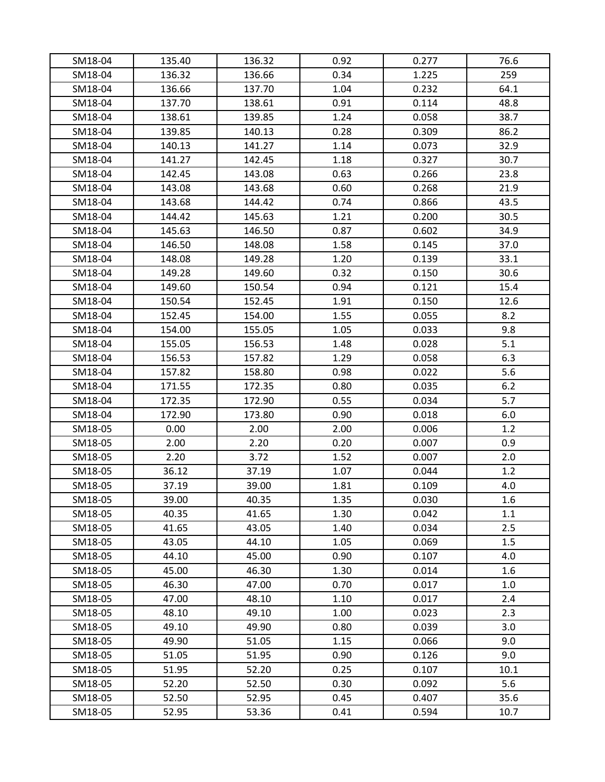| SM18-04 | 135.40 | 136.32 | 0.92 | 0.277 | 76.6 |
|---------|--------|--------|------|-------|------|
| SM18-04 | 136.32 | 136.66 | 0.34 | 1.225 | 259  |
| SM18-04 | 136.66 | 137.70 | 1.04 | 0.232 | 64.1 |
| SM18-04 | 137.70 | 138.61 | 0.91 | 0.114 | 48.8 |
| SM18-04 | 138.61 | 139.85 | 1.24 | 0.058 | 38.7 |
| SM18-04 | 139.85 | 140.13 | 0.28 | 0.309 | 86.2 |
| SM18-04 | 140.13 | 141.27 | 1.14 | 0.073 | 32.9 |
| SM18-04 | 141.27 | 142.45 | 1.18 | 0.327 | 30.7 |
| SM18-04 | 142.45 | 143.08 | 0.63 | 0.266 | 23.8 |
| SM18-04 | 143.08 | 143.68 | 0.60 | 0.268 | 21.9 |
| SM18-04 | 143.68 | 144.42 | 0.74 | 0.866 | 43.5 |
| SM18-04 | 144.42 | 145.63 | 1.21 | 0.200 | 30.5 |
| SM18-04 | 145.63 | 146.50 | 0.87 | 0.602 | 34.9 |
| SM18-04 | 146.50 | 148.08 | 1.58 | 0.145 | 37.0 |
| SM18-04 | 148.08 | 149.28 | 1.20 | 0.139 | 33.1 |
| SM18-04 | 149.28 | 149.60 | 0.32 | 0.150 | 30.6 |
| SM18-04 | 149.60 | 150.54 | 0.94 | 0.121 | 15.4 |
| SM18-04 | 150.54 | 152.45 | 1.91 | 0.150 | 12.6 |
| SM18-04 | 152.45 | 154.00 | 1.55 | 0.055 | 8.2  |
| SM18-04 | 154.00 | 155.05 | 1.05 | 0.033 | 9.8  |
| SM18-04 | 155.05 | 156.53 | 1.48 | 0.028 | 5.1  |
| SM18-04 | 156.53 | 157.82 | 1.29 | 0.058 | 6.3  |
| SM18-04 | 157.82 | 158.80 | 0.98 | 0.022 | 5.6  |
| SM18-04 | 171.55 | 172.35 | 0.80 | 0.035 | 6.2  |
| SM18-04 | 172.35 | 172.90 | 0.55 | 0.034 | 5.7  |
| SM18-04 | 172.90 | 173.80 | 0.90 | 0.018 | 6.0  |
| SM18-05 | 0.00   | 2.00   | 2.00 | 0.006 | 1.2  |
| SM18-05 | 2.00   | 2.20   | 0.20 | 0.007 | 0.9  |
| SM18-05 | 2.20   | 3.72   | 1.52 | 0.007 | 2.0  |
| SM18-05 | 36.12  | 37.19  | 1.07 | 0.044 | 1.2  |
| SM18-05 | 37.19  | 39.00  | 1.81 | 0.109 | 4.0  |
| SM18-05 | 39.00  | 40.35  | 1.35 | 0.030 | 1.6  |
| SM18-05 | 40.35  | 41.65  | 1.30 | 0.042 | 1.1  |
| SM18-05 | 41.65  | 43.05  | 1.40 | 0.034 | 2.5  |
| SM18-05 | 43.05  | 44.10  | 1.05 | 0.069 | 1.5  |
| SM18-05 | 44.10  | 45.00  | 0.90 | 0.107 | 4.0  |
| SM18-05 | 45.00  | 46.30  | 1.30 | 0.014 | 1.6  |
| SM18-05 | 46.30  | 47.00  | 0.70 | 0.017 | 1.0  |
| SM18-05 | 47.00  | 48.10  | 1.10 | 0.017 | 2.4  |
| SM18-05 | 48.10  | 49.10  | 1.00 | 0.023 | 2.3  |
| SM18-05 | 49.10  | 49.90  | 0.80 | 0.039 | 3.0  |
| SM18-05 | 49.90  | 51.05  | 1.15 | 0.066 | 9.0  |
| SM18-05 | 51.05  | 51.95  | 0.90 | 0.126 | 9.0  |
| SM18-05 | 51.95  | 52.20  | 0.25 | 0.107 | 10.1 |
| SM18-05 | 52.20  | 52.50  | 0.30 | 0.092 | 5.6  |
| SM18-05 | 52.50  | 52.95  | 0.45 | 0.407 | 35.6 |
| SM18-05 | 52.95  | 53.36  | 0.41 | 0.594 | 10.7 |
|         |        |        |      |       |      |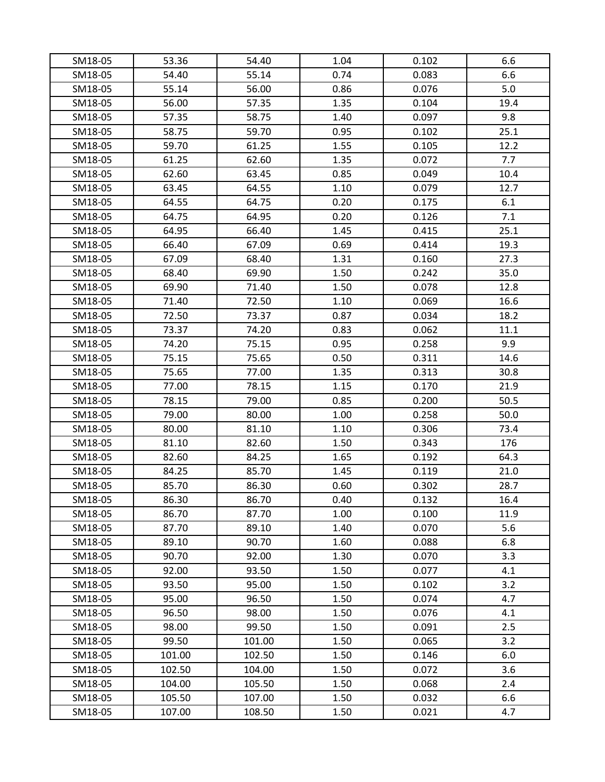| SM18-05 | 53.36  | 54.40  | 1.04 | 0.102 | 6.6  |
|---------|--------|--------|------|-------|------|
| SM18-05 | 54.40  | 55.14  | 0.74 | 0.083 | 6.6  |
| SM18-05 | 55.14  | 56.00  | 0.86 | 0.076 | 5.0  |
| SM18-05 | 56.00  | 57.35  | 1.35 | 0.104 | 19.4 |
| SM18-05 | 57.35  | 58.75  | 1.40 | 0.097 | 9.8  |
| SM18-05 | 58.75  | 59.70  | 0.95 | 0.102 | 25.1 |
| SM18-05 | 59.70  | 61.25  | 1.55 | 0.105 | 12.2 |
| SM18-05 | 61.25  | 62.60  | 1.35 | 0.072 | 7.7  |
| SM18-05 | 62.60  | 63.45  | 0.85 | 0.049 | 10.4 |
| SM18-05 | 63.45  | 64.55  | 1.10 | 0.079 | 12.7 |
| SM18-05 | 64.55  | 64.75  | 0.20 | 0.175 | 6.1  |
| SM18-05 | 64.75  | 64.95  | 0.20 | 0.126 | 7.1  |
| SM18-05 | 64.95  | 66.40  | 1.45 | 0.415 | 25.1 |
| SM18-05 | 66.40  | 67.09  | 0.69 | 0.414 | 19.3 |
| SM18-05 | 67.09  | 68.40  | 1.31 | 0.160 | 27.3 |
| SM18-05 | 68.40  | 69.90  | 1.50 | 0.242 | 35.0 |
| SM18-05 | 69.90  | 71.40  | 1.50 | 0.078 | 12.8 |
| SM18-05 | 71.40  | 72.50  | 1.10 | 0.069 | 16.6 |
| SM18-05 | 72.50  | 73.37  | 0.87 | 0.034 | 18.2 |
| SM18-05 | 73.37  | 74.20  | 0.83 | 0.062 | 11.1 |
| SM18-05 | 74.20  | 75.15  | 0.95 | 0.258 | 9.9  |
| SM18-05 | 75.15  | 75.65  | 0.50 | 0.311 | 14.6 |
| SM18-05 | 75.65  | 77.00  | 1.35 | 0.313 | 30.8 |
| SM18-05 | 77.00  | 78.15  | 1.15 | 0.170 | 21.9 |
| SM18-05 | 78.15  | 79.00  | 0.85 | 0.200 | 50.5 |
| SM18-05 | 79.00  | 80.00  | 1.00 | 0.258 | 50.0 |
| SM18-05 | 80.00  | 81.10  | 1.10 | 0.306 | 73.4 |
| SM18-05 | 81.10  | 82.60  | 1.50 | 0.343 | 176  |
| SM18-05 | 82.60  | 84.25  | 1.65 | 0.192 | 64.3 |
| SM18-05 | 84.25  | 85.70  | 1.45 | 0.119 | 21.0 |
| SM18-05 | 85.70  | 86.30  | 0.60 | 0.302 | 28.7 |
| SM18-05 | 86.30  | 86.70  | 0.40 | 0.132 | 16.4 |
| SM18-05 | 86.70  | 87.70  | 1.00 | 0.100 | 11.9 |
| SM18-05 | 87.70  | 89.10  | 1.40 | 0.070 | 5.6  |
| SM18-05 | 89.10  | 90.70  | 1.60 | 0.088 | 6.8  |
| SM18-05 | 90.70  | 92.00  | 1.30 | 0.070 | 3.3  |
| SM18-05 | 92.00  | 93.50  | 1.50 | 0.077 | 4.1  |
| SM18-05 | 93.50  | 95.00  | 1.50 | 0.102 | 3.2  |
| SM18-05 | 95.00  | 96.50  | 1.50 | 0.074 | 4.7  |
| SM18-05 | 96.50  | 98.00  | 1.50 | 0.076 | 4.1  |
| SM18-05 | 98.00  | 99.50  | 1.50 | 0.091 | 2.5  |
| SM18-05 | 99.50  | 101.00 | 1.50 | 0.065 | 3.2  |
| SM18-05 | 101.00 | 102.50 | 1.50 | 0.146 | 6.0  |
| SM18-05 | 102.50 | 104.00 | 1.50 | 0.072 | 3.6  |
| SM18-05 | 104.00 | 105.50 | 1.50 | 0.068 | 2.4  |
| SM18-05 | 105.50 | 107.00 | 1.50 | 0.032 | 6.6  |
| SM18-05 | 107.00 | 108.50 | 1.50 | 0.021 | 4.7  |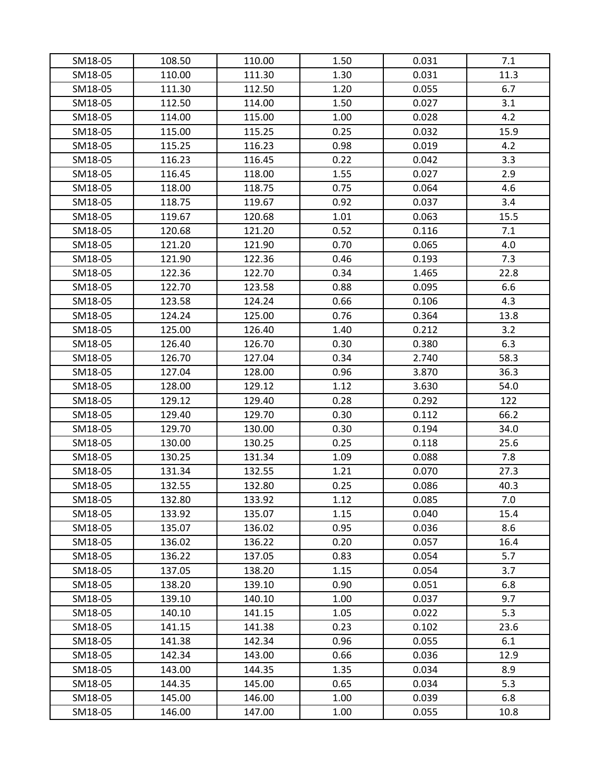| SM18-05 | 108.50 | 110.00 | 1.50 | 0.031 | 7.1  |
|---------|--------|--------|------|-------|------|
| SM18-05 | 110.00 | 111.30 | 1.30 | 0.031 | 11.3 |
| SM18-05 | 111.30 | 112.50 | 1.20 | 0.055 | 6.7  |
| SM18-05 | 112.50 | 114.00 | 1.50 | 0.027 | 3.1  |
| SM18-05 | 114.00 | 115.00 | 1.00 | 0.028 | 4.2  |
| SM18-05 | 115.00 | 115.25 | 0.25 | 0.032 | 15.9 |
| SM18-05 | 115.25 | 116.23 | 0.98 | 0.019 | 4.2  |
| SM18-05 | 116.23 | 116.45 | 0.22 | 0.042 | 3.3  |
| SM18-05 | 116.45 | 118.00 | 1.55 | 0.027 | 2.9  |
| SM18-05 | 118.00 | 118.75 | 0.75 | 0.064 | 4.6  |
| SM18-05 | 118.75 | 119.67 | 0.92 | 0.037 | 3.4  |
| SM18-05 | 119.67 | 120.68 | 1.01 | 0.063 | 15.5 |
| SM18-05 | 120.68 | 121.20 | 0.52 | 0.116 | 7.1  |
| SM18-05 | 121.20 | 121.90 | 0.70 | 0.065 | 4.0  |
| SM18-05 | 121.90 | 122.36 | 0.46 | 0.193 | 7.3  |
| SM18-05 | 122.36 | 122.70 | 0.34 | 1.465 | 22.8 |
| SM18-05 | 122.70 | 123.58 | 0.88 | 0.095 | 6.6  |
| SM18-05 | 123.58 | 124.24 | 0.66 | 0.106 | 4.3  |
| SM18-05 | 124.24 | 125.00 | 0.76 | 0.364 | 13.8 |
| SM18-05 | 125.00 | 126.40 | 1.40 | 0.212 | 3.2  |
| SM18-05 | 126.40 | 126.70 | 0.30 | 0.380 | 6.3  |
| SM18-05 | 126.70 | 127.04 | 0.34 | 2.740 | 58.3 |
| SM18-05 | 127.04 | 128.00 | 0.96 | 3.870 | 36.3 |
| SM18-05 | 128.00 | 129.12 | 1.12 | 3.630 | 54.0 |
| SM18-05 | 129.12 | 129.40 | 0.28 | 0.292 | 122  |
| SM18-05 | 129.40 | 129.70 | 0.30 | 0.112 | 66.2 |
| SM18-05 | 129.70 | 130.00 | 0.30 | 0.194 | 34.0 |
| SM18-05 | 130.00 | 130.25 | 0.25 | 0.118 | 25.6 |
| SM18-05 | 130.25 | 131.34 | 1.09 | 0.088 | 7.8  |
| SM18-05 | 131.34 | 132.55 | 1.21 | 0.070 | 27.3 |
| SM18-05 | 132.55 | 132.80 | 0.25 | 0.086 | 40.3 |
| SM18-05 | 132.80 | 133.92 | 1.12 | 0.085 | 7.0  |
| SM18-05 | 133.92 | 135.07 | 1.15 | 0.040 | 15.4 |
| SM18-05 | 135.07 | 136.02 | 0.95 | 0.036 | 8.6  |
| SM18-05 | 136.02 | 136.22 | 0.20 | 0.057 | 16.4 |
| SM18-05 | 136.22 | 137.05 | 0.83 | 0.054 | 5.7  |
| SM18-05 | 137.05 | 138.20 | 1.15 | 0.054 | 3.7  |
| SM18-05 | 138.20 | 139.10 | 0.90 | 0.051 | 6.8  |
| SM18-05 | 139.10 | 140.10 | 1.00 | 0.037 | 9.7  |
| SM18-05 | 140.10 | 141.15 | 1.05 | 0.022 | 5.3  |
| SM18-05 | 141.15 | 141.38 | 0.23 | 0.102 | 23.6 |
| SM18-05 | 141.38 | 142.34 | 0.96 | 0.055 | 6.1  |
| SM18-05 | 142.34 | 143.00 | 0.66 | 0.036 | 12.9 |
| SM18-05 | 143.00 | 144.35 | 1.35 | 0.034 | 8.9  |
| SM18-05 | 144.35 | 145.00 | 0.65 | 0.034 | 5.3  |
| SM18-05 | 145.00 | 146.00 | 1.00 | 0.039 | 6.8  |
| SM18-05 | 146.00 | 147.00 | 1.00 | 0.055 | 10.8 |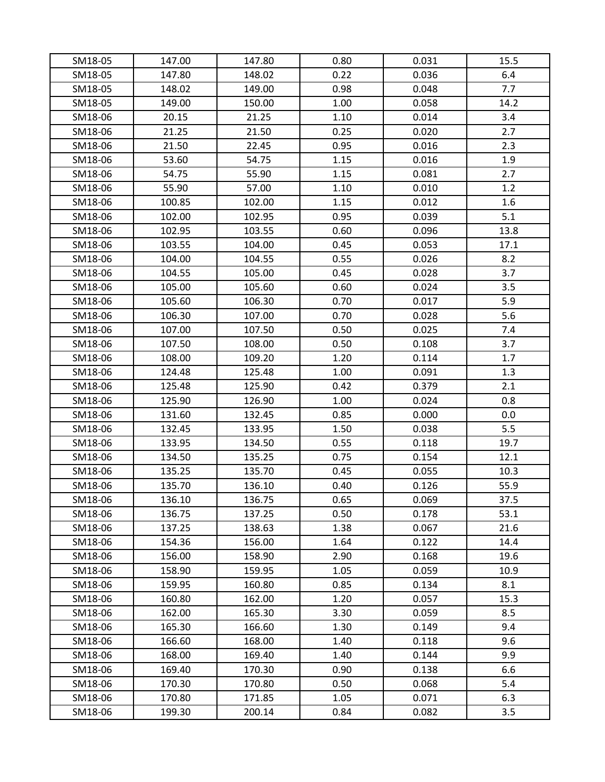| SM18-05 | 147.00 | 147.80           | 0.80         | 0.031          | 15.5         |
|---------|--------|------------------|--------------|----------------|--------------|
| SM18-05 | 147.80 | 148.02           | 0.22         | 0.036          | 6.4          |
| SM18-05 | 148.02 | 149.00           | 0.98         | 0.048          | 7.7          |
| SM18-05 | 149.00 | 150.00           | 1.00         | 0.058          | 14.2         |
| SM18-06 | 20.15  | 21.25            | 1.10         | 0.014          | 3.4          |
| SM18-06 | 21.25  | 21.50            | 0.25         | 0.020          | 2.7          |
| SM18-06 | 21.50  | 22.45            | 0.95         | 0.016          | 2.3          |
| SM18-06 | 53.60  | 54.75            | 1.15         | 0.016          | 1.9          |
| SM18-06 | 54.75  | 55.90            | 1.15         | 0.081          | 2.7          |
| SM18-06 | 55.90  | 57.00            | 1.10         | 0.010          | 1.2          |
| SM18-06 | 100.85 | 102.00           | 1.15         | 0.012          | $1.6\,$      |
| SM18-06 | 102.00 | 102.95           | 0.95         | 0.039          | 5.1          |
| SM18-06 | 102.95 | 103.55           | 0.60         | 0.096          | 13.8         |
| SM18-06 | 103.55 | 104.00           | 0.45         | 0.053          | 17.1         |
| SM18-06 | 104.00 | 104.55           | 0.55         | 0.026          | 8.2          |
| SM18-06 | 104.55 | 105.00           | 0.45         | 0.028          | 3.7          |
| SM18-06 | 105.00 | 105.60           | 0.60         | 0.024          | 3.5          |
| SM18-06 | 105.60 | 106.30           | 0.70         | 0.017          | 5.9          |
| SM18-06 | 106.30 | 107.00           | 0.70         | 0.028          | 5.6          |
| SM18-06 | 107.00 | 107.50           | 0.50         | 0.025          | 7.4          |
| SM18-06 | 107.50 | 108.00           | 0.50         | 0.108          | 3.7          |
| SM18-06 | 108.00 | 109.20           | 1.20         | 0.114          | 1.7          |
| SM18-06 | 124.48 | 125.48           | 1.00         |                | 1.3          |
| SM18-06 | 125.48 | 125.90           | 0.42         | 0.091<br>0.379 | 2.1          |
| SM18-06 | 125.90 | 126.90           | 1.00         | 0.024          | 0.8          |
|         |        |                  |              |                |              |
| SM18-06 | 131.60 | 132.45           | 0.85         | 0.000          | 0.0          |
| SM18-06 | 132.45 | 133.95           | 1.50         | 0.038          | 5.5<br>19.7  |
| SM18-06 | 133.95 | 134.50           | 0.55<br>0.75 | 0.118          | 12.1         |
| SM18-06 | 134.50 | 135.25           |              | 0.154          |              |
| SM18-06 | 135.25 | 135.70           | 0.45         | 0.055          | 10.3         |
| SM18-06 | 135.70 | 136.10<br>136.75 | 0.40         | 0.126          | 55.9         |
| SM18-06 | 136.10 |                  | 0.65         | 0.069          | 37.5         |
| SM18-06 | 136.75 | 137.25           | 0.50         | 0.178          | 53.1         |
| SM18-06 | 137.25 | 138.63           | 1.38         | 0.067<br>0.122 | 21.6<br>14.4 |
| SM18-06 | 154.36 | 156.00           | 1.64         | 0.168          | 19.6         |
| SM18-06 | 156.00 | 158.90           | 2.90         | 0.059          |              |
| SM18-06 | 158.90 | 159.95<br>160.80 | 1.05<br>0.85 | 0.134          | 10.9<br>8.1  |
| SM18-06 | 159.95 |                  |              |                |              |
| SM18-06 | 160.80 | 162.00           | 1.20         | 0.057          | 15.3         |
| SM18-06 | 162.00 | 165.30           | 3.30         | 0.059          | 8.5          |
| SM18-06 | 165.30 | 166.60           | 1.30         | 0.149          | 9.4          |
| SM18-06 | 166.60 | 168.00           | 1.40         | 0.118          | 9.6          |
| SM18-06 | 168.00 | 169.40           | 1.40         | 0.144          | 9.9          |
| SM18-06 | 169.40 | 170.30           | 0.90         | 0.138          | 6.6          |
| SM18-06 | 170.30 | 170.80           | 0.50         | 0.068          | 5.4          |
| SM18-06 | 170.80 | 171.85           | 1.05         | 0.071          | 6.3          |
| SM18-06 | 199.30 | 200.14           | 0.84         | 0.082          | 3.5          |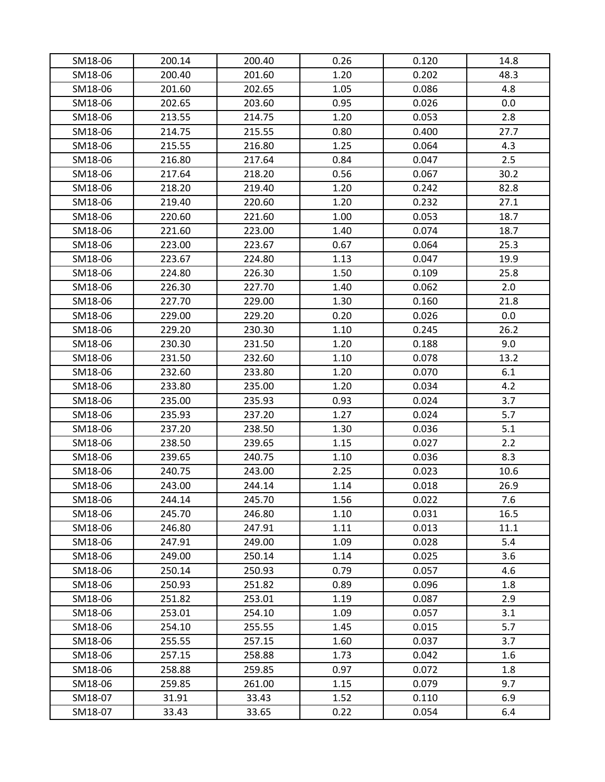| SM18-06 | 200.14 | 200.40 | 0.26 | 0.120 | 14.8 |
|---------|--------|--------|------|-------|------|
| SM18-06 | 200.40 | 201.60 | 1.20 | 0.202 | 48.3 |
| SM18-06 | 201.60 | 202.65 | 1.05 | 0.086 | 4.8  |
| SM18-06 | 202.65 | 203.60 | 0.95 | 0.026 | 0.0  |
| SM18-06 | 213.55 | 214.75 | 1.20 | 0.053 | 2.8  |
| SM18-06 | 214.75 | 215.55 | 0.80 | 0.400 | 27.7 |
| SM18-06 | 215.55 | 216.80 | 1.25 | 0.064 | 4.3  |
| SM18-06 | 216.80 | 217.64 | 0.84 | 0.047 | 2.5  |
| SM18-06 | 217.64 | 218.20 | 0.56 | 0.067 | 30.2 |
| SM18-06 | 218.20 | 219.40 | 1.20 | 0.242 | 82.8 |
| SM18-06 | 219.40 | 220.60 | 1.20 | 0.232 | 27.1 |
| SM18-06 | 220.60 | 221.60 | 1.00 | 0.053 | 18.7 |
| SM18-06 | 221.60 | 223.00 | 1.40 | 0.074 | 18.7 |
| SM18-06 | 223.00 | 223.67 | 0.67 | 0.064 | 25.3 |
| SM18-06 | 223.67 | 224.80 | 1.13 | 0.047 | 19.9 |
| SM18-06 | 224.80 | 226.30 | 1.50 | 0.109 | 25.8 |
| SM18-06 | 226.30 | 227.70 | 1.40 | 0.062 | 2.0  |
| SM18-06 | 227.70 | 229.00 | 1.30 | 0.160 | 21.8 |
| SM18-06 | 229.00 | 229.20 | 0.20 | 0.026 | 0.0  |
| SM18-06 | 229.20 | 230.30 | 1.10 | 0.245 | 26.2 |
| SM18-06 | 230.30 | 231.50 | 1.20 | 0.188 | 9.0  |
| SM18-06 | 231.50 | 232.60 | 1.10 | 0.078 | 13.2 |
| SM18-06 | 232.60 | 233.80 | 1.20 | 0.070 | 6.1  |
| SM18-06 | 233.80 | 235.00 | 1.20 | 0.034 | 4.2  |
| SM18-06 | 235.00 | 235.93 | 0.93 | 0.024 | 3.7  |
| SM18-06 | 235.93 | 237.20 | 1.27 | 0.024 | 5.7  |
| SM18-06 | 237.20 | 238.50 | 1.30 | 0.036 | 5.1  |
| SM18-06 | 238.50 | 239.65 | 1.15 | 0.027 | 2.2  |
| SM18-06 | 239.65 | 240.75 | 1.10 | 0.036 | 8.3  |
| SM18-06 | 240.75 | 243.00 | 2.25 | 0.023 | 10.6 |
| SM18-06 | 243.00 | 244.14 | 1.14 | 0.018 | 26.9 |
| SM18-06 | 244.14 | 245.70 | 1.56 | 0.022 | 7.6  |
| SM18-06 | 245.70 | 246.80 | 1.10 | 0.031 | 16.5 |
| SM18-06 | 246.80 | 247.91 | 1.11 | 0.013 | 11.1 |
| SM18-06 | 247.91 | 249.00 | 1.09 | 0.028 | 5.4  |
| SM18-06 | 249.00 | 250.14 | 1.14 | 0.025 | 3.6  |
| SM18-06 | 250.14 | 250.93 | 0.79 | 0.057 | 4.6  |
| SM18-06 | 250.93 | 251.82 | 0.89 | 0.096 | 1.8  |
| SM18-06 | 251.82 | 253.01 | 1.19 | 0.087 | 2.9  |
| SM18-06 | 253.01 | 254.10 | 1.09 | 0.057 | 3.1  |
| SM18-06 | 254.10 | 255.55 | 1.45 | 0.015 | 5.7  |
| SM18-06 | 255.55 | 257.15 | 1.60 | 0.037 | 3.7  |
| SM18-06 | 257.15 | 258.88 | 1.73 | 0.042 | 1.6  |
| SM18-06 | 258.88 | 259.85 | 0.97 | 0.072 | 1.8  |
| SM18-06 | 259.85 | 261.00 | 1.15 | 0.079 | 9.7  |
| SM18-07 | 31.91  | 33.43  | 1.52 | 0.110 | 6.9  |
| SM18-07 | 33.43  | 33.65  | 0.22 | 0.054 | 6.4  |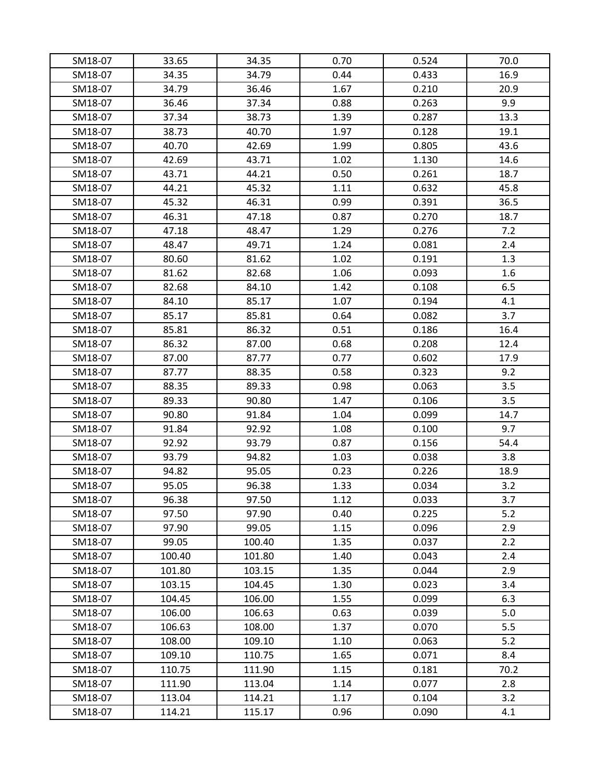| SM18-07 | 33.65  | 34.35  | 0.70 | 0.524 | 70.0 |
|---------|--------|--------|------|-------|------|
| SM18-07 | 34.35  | 34.79  | 0.44 | 0.433 | 16.9 |
| SM18-07 | 34.79  | 36.46  | 1.67 | 0.210 | 20.9 |
| SM18-07 | 36.46  | 37.34  | 0.88 | 0.263 | 9.9  |
| SM18-07 | 37.34  | 38.73  | 1.39 | 0.287 | 13.3 |
| SM18-07 | 38.73  | 40.70  | 1.97 | 0.128 | 19.1 |
| SM18-07 | 40.70  | 42.69  | 1.99 | 0.805 | 43.6 |
| SM18-07 | 42.69  | 43.71  | 1.02 | 1.130 | 14.6 |
| SM18-07 | 43.71  | 44.21  | 0.50 | 0.261 | 18.7 |
| SM18-07 | 44.21  | 45.32  | 1.11 | 0.632 | 45.8 |
| SM18-07 | 45.32  | 46.31  | 0.99 | 0.391 | 36.5 |
| SM18-07 | 46.31  | 47.18  | 0.87 | 0.270 | 18.7 |
| SM18-07 | 47.18  | 48.47  | 1.29 | 0.276 | 7.2  |
| SM18-07 | 48.47  | 49.71  | 1.24 | 0.081 | 2.4  |
| SM18-07 | 80.60  | 81.62  | 1.02 | 0.191 | 1.3  |
| SM18-07 | 81.62  | 82.68  | 1.06 | 0.093 | 1.6  |
| SM18-07 | 82.68  | 84.10  | 1.42 | 0.108 | 6.5  |
| SM18-07 | 84.10  | 85.17  | 1.07 | 0.194 | 4.1  |
| SM18-07 | 85.17  | 85.81  | 0.64 | 0.082 | 3.7  |
| SM18-07 | 85.81  | 86.32  | 0.51 | 0.186 | 16.4 |
| SM18-07 | 86.32  | 87.00  | 0.68 | 0.208 | 12.4 |
| SM18-07 | 87.00  | 87.77  | 0.77 | 0.602 | 17.9 |
| SM18-07 | 87.77  | 88.35  | 0.58 | 0.323 | 9.2  |
| SM18-07 | 88.35  | 89.33  | 0.98 | 0.063 | 3.5  |
| SM18-07 | 89.33  | 90.80  | 1.47 | 0.106 | 3.5  |
| SM18-07 | 90.80  | 91.84  | 1.04 | 0.099 | 14.7 |
| SM18-07 | 91.84  | 92.92  | 1.08 | 0.100 | 9.7  |
| SM18-07 | 92.92  | 93.79  | 0.87 | 0.156 | 54.4 |
| SM18-07 | 93.79  | 94.82  | 1.03 | 0.038 | 3.8  |
| SM18-07 | 94.82  | 95.05  | 0.23 | 0.226 | 18.9 |
| SM18-07 | 95.05  | 96.38  | 1.33 | 0.034 | 3.2  |
| SM18-07 | 96.38  | 97.50  | 1.12 | 0.033 | 3.7  |
| SM18-07 | 97.50  | 97.90  | 0.40 | 0.225 | 5.2  |
| SM18-07 | 97.90  | 99.05  | 1.15 | 0.096 | 2.9  |
| SM18-07 | 99.05  | 100.40 | 1.35 | 0.037 | 2.2  |
| SM18-07 | 100.40 | 101.80 | 1.40 | 0.043 | 2.4  |
| SM18-07 | 101.80 | 103.15 | 1.35 | 0.044 | 2.9  |
| SM18-07 | 103.15 | 104.45 | 1.30 | 0.023 | 3.4  |
| SM18-07 | 104.45 | 106.00 | 1.55 | 0.099 | 6.3  |
| SM18-07 | 106.00 | 106.63 | 0.63 | 0.039 | 5.0  |
| SM18-07 | 106.63 | 108.00 | 1.37 | 0.070 | 5.5  |
| SM18-07 | 108.00 | 109.10 | 1.10 | 0.063 | 5.2  |
| SM18-07 | 109.10 | 110.75 | 1.65 | 0.071 | 8.4  |
| SM18-07 | 110.75 | 111.90 | 1.15 | 0.181 | 70.2 |
| SM18-07 | 111.90 | 113.04 | 1.14 | 0.077 | 2.8  |
| SM18-07 | 113.04 | 114.21 | 1.17 | 0.104 | 3.2  |
| SM18-07 | 114.21 | 115.17 | 0.96 | 0.090 | 4.1  |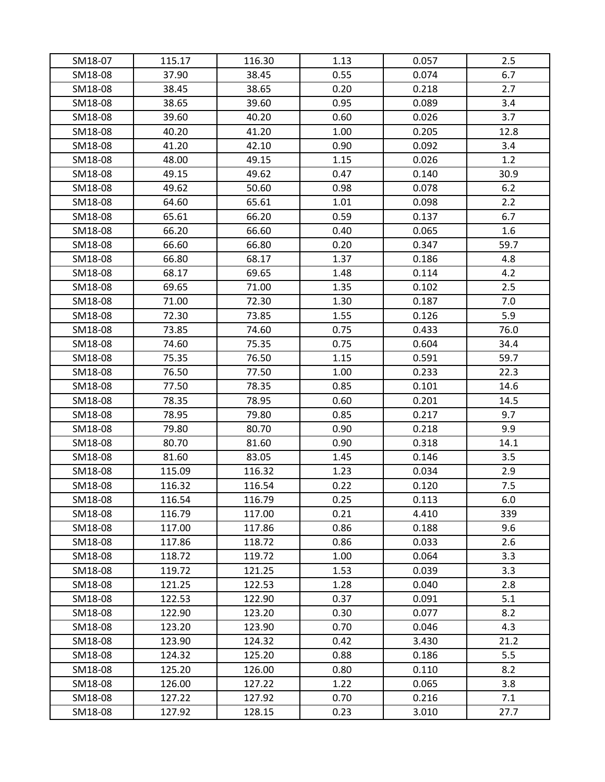| SM18-07 | 115.17 | 116.30 | 1.13 | 0.057 | 2.5  |
|---------|--------|--------|------|-------|------|
| SM18-08 | 37.90  | 38.45  | 0.55 | 0.074 | 6.7  |
| SM18-08 | 38.45  | 38.65  | 0.20 | 0.218 | 2.7  |
| SM18-08 | 38.65  | 39.60  | 0.95 | 0.089 | 3.4  |
| SM18-08 | 39.60  | 40.20  | 0.60 | 0.026 | 3.7  |
| SM18-08 | 40.20  | 41.20  | 1.00 | 0.205 | 12.8 |
| SM18-08 | 41.20  | 42.10  | 0.90 | 0.092 | 3.4  |
| SM18-08 | 48.00  | 49.15  | 1.15 | 0.026 | 1.2  |
| SM18-08 | 49.15  | 49.62  | 0.47 | 0.140 | 30.9 |
| SM18-08 | 49.62  | 50.60  | 0.98 | 0.078 | 6.2  |
| SM18-08 | 64.60  | 65.61  | 1.01 | 0.098 | 2.2  |
| SM18-08 | 65.61  | 66.20  | 0.59 | 0.137 | 6.7  |
| SM18-08 | 66.20  | 66.60  | 0.40 | 0.065 | 1.6  |
| SM18-08 | 66.60  | 66.80  | 0.20 | 0.347 | 59.7 |
| SM18-08 | 66.80  | 68.17  | 1.37 | 0.186 | 4.8  |
| SM18-08 | 68.17  | 69.65  | 1.48 | 0.114 | 4.2  |
| SM18-08 | 69.65  | 71.00  | 1.35 | 0.102 | 2.5  |
| SM18-08 | 71.00  | 72.30  | 1.30 | 0.187 | 7.0  |
| SM18-08 | 72.30  | 73.85  | 1.55 | 0.126 | 5.9  |
| SM18-08 | 73.85  | 74.60  | 0.75 | 0.433 | 76.0 |
| SM18-08 | 74.60  | 75.35  | 0.75 | 0.604 | 34.4 |
| SM18-08 | 75.35  | 76.50  | 1.15 | 0.591 | 59.7 |
| SM18-08 | 76.50  | 77.50  | 1.00 | 0.233 | 22.3 |
| SM18-08 | 77.50  | 78.35  | 0.85 | 0.101 | 14.6 |
| SM18-08 | 78.35  | 78.95  | 0.60 | 0.201 | 14.5 |
| SM18-08 | 78.95  | 79.80  | 0.85 | 0.217 | 9.7  |
| SM18-08 | 79.80  | 80.70  | 0.90 | 0.218 | 9.9  |
| SM18-08 | 80.70  | 81.60  | 0.90 | 0.318 | 14.1 |
| SM18-08 | 81.60  | 83.05  | 1.45 | 0.146 | 3.5  |
| SM18-08 | 115.09 | 116.32 | 1.23 | 0.034 | 2.9  |
| SM18-08 | 116.32 | 116.54 | 0.22 | 0.120 | 7.5  |
| SM18-08 | 116.54 | 116.79 | 0.25 | 0.113 | 6.0  |
| SM18-08 | 116.79 | 117.00 | 0.21 | 4.410 | 339  |
| SM18-08 | 117.00 | 117.86 | 0.86 | 0.188 | 9.6  |
| SM18-08 | 117.86 | 118.72 | 0.86 | 0.033 | 2.6  |
| SM18-08 | 118.72 | 119.72 | 1.00 | 0.064 | 3.3  |
| SM18-08 | 119.72 | 121.25 | 1.53 | 0.039 | 3.3  |
| SM18-08 | 121.25 | 122.53 | 1.28 | 0.040 | 2.8  |
| SM18-08 | 122.53 | 122.90 | 0.37 | 0.091 | 5.1  |
| SM18-08 | 122.90 | 123.20 | 0.30 | 0.077 | 8.2  |
| SM18-08 | 123.20 | 123.90 | 0.70 | 0.046 | 4.3  |
| SM18-08 | 123.90 | 124.32 | 0.42 | 3.430 | 21.2 |
| SM18-08 | 124.32 | 125.20 | 0.88 | 0.186 | 5.5  |
| SM18-08 | 125.20 | 126.00 | 0.80 | 0.110 | 8.2  |
| SM18-08 | 126.00 | 127.22 | 1.22 | 0.065 | 3.8  |
| SM18-08 | 127.22 | 127.92 | 0.70 | 0.216 | 7.1  |
| SM18-08 | 127.92 | 128.15 | 0.23 | 3.010 | 27.7 |